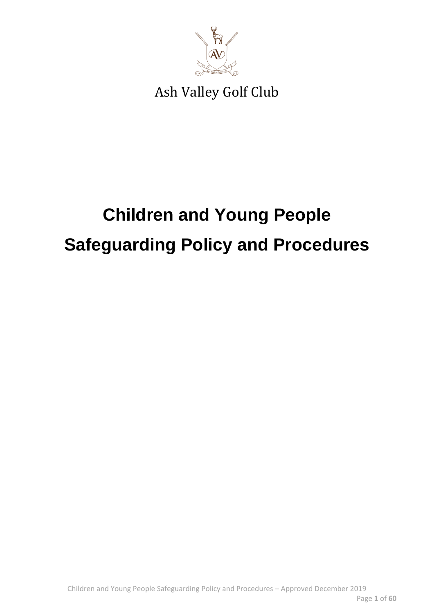

## **Children and Young People Safeguarding Policy and Procedures**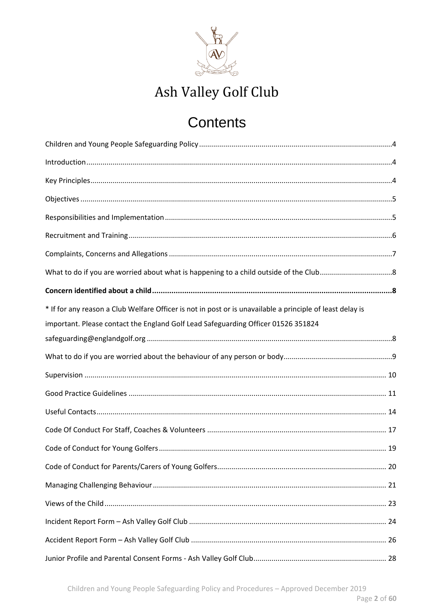

## Contents

| * If for any reason a Club Welfare Officer is not in post or is unavailable a principle of least delay is<br>important. Please contact the England Golf Lead Safeguarding Officer 01526 351824 |  |
|------------------------------------------------------------------------------------------------------------------------------------------------------------------------------------------------|--|
|                                                                                                                                                                                                |  |
|                                                                                                                                                                                                |  |
|                                                                                                                                                                                                |  |
|                                                                                                                                                                                                |  |
|                                                                                                                                                                                                |  |
|                                                                                                                                                                                                |  |
|                                                                                                                                                                                                |  |
|                                                                                                                                                                                                |  |
|                                                                                                                                                                                                |  |
|                                                                                                                                                                                                |  |
|                                                                                                                                                                                                |  |
|                                                                                                                                                                                                |  |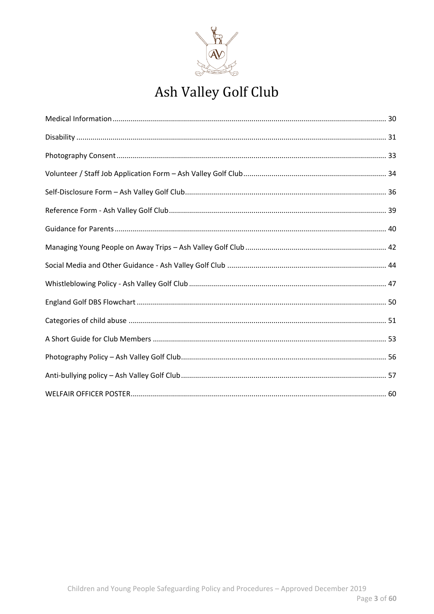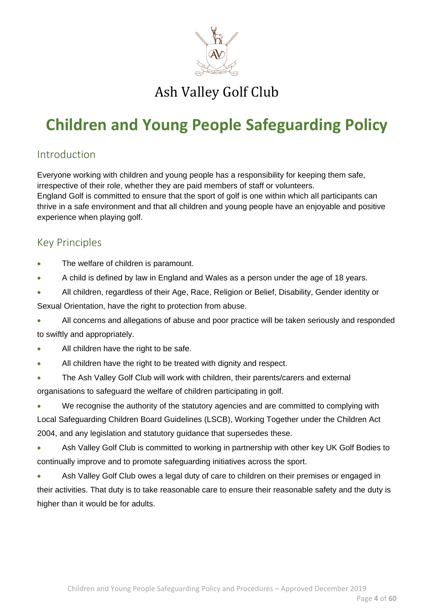

## <span id="page-3-0"></span>**Children and Young People Safeguarding Policy**

### <span id="page-3-1"></span>Introduction

Everyone working with children and young people has a responsibility for keeping them safe, irrespective of their role, whether they are paid members of staff or volunteers. England Golf is committed to ensure that the sport of golf is one within which all participants can thrive in a safe environment and that all children and young people have an enjoyable and positive experience when playing golf.

### <span id="page-3-2"></span>Key Principles

- The welfare of children is paramount.
- A child is defined by law in England and Wales as a person under the age of 18 years.
- All children, regardless of their Age, Race, Religion or Belief, Disability, Gender identity or
- Sexual Orientation, have the right to protection from abuse.

• All concerns and allegations of abuse and poor practice will be taken seriously and responded to swiftly and appropriately.

- All children have the right to be safe.
- All children have the right to be treated with dignity and respect.
- The Ash Valley Golf Club will work with children, their parents/carers and external organisations to safeguard the welfare of children participating in golf.
- We recognise the authority of the statutory agencies and are committed to complying with Local Safeguarding Children Board Guidelines (LSCB), Working Together under the Children Act 2004, and any legislation and statutory guidance that supersedes these.
- Ash Valley Golf Club is committed to working in partnership with other key UK Golf Bodies to continually improve and to promote safeguarding initiatives across the sport.
- Ash Valley Golf Club owes a legal duty of care to children on their premises or engaged in their activities. That duty is to take reasonable care to ensure their reasonable safety and the duty is higher than it would be for adults.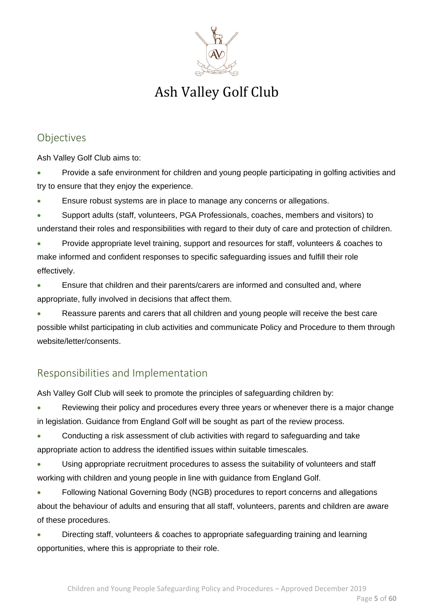

### <span id="page-4-0"></span>Objectives

Ash Valley Golf Club aims to:

• Provide a safe environment for children and young people participating in golfing activities and try to ensure that they enjoy the experience.

- Ensure robust systems are in place to manage any concerns or allegations.
- Support adults (staff, volunteers, PGA Professionals, coaches, members and visitors) to understand their roles and responsibilities with regard to their duty of care and protection of children.
- Provide appropriate level training, support and resources for staff, volunteers & coaches to make informed and confident responses to specific safeguarding issues and fulfill their role effectively.
- Ensure that children and their parents/carers are informed and consulted and, where appropriate, fully involved in decisions that affect them.

• Reassure parents and carers that all children and young people will receive the best care possible whilst participating in club activities and communicate Policy and Procedure to them through website/letter/consents.

### <span id="page-4-1"></span>Responsibilities and Implementation

Ash Valley Golf Club will seek to promote the principles of safeguarding children by:

- Reviewing their policy and procedures every three years or whenever there is a major change in legislation. Guidance from England Golf will be sought as part of the review process.
- Conducting a risk assessment of club activities with regard to safeguarding and take appropriate action to address the identified issues within suitable timescales.
- Using appropriate recruitment procedures to assess the suitability of volunteers and staff working with children and young people in line with guidance from England Golf.
- Following National Governing Body (NGB) procedures to report concerns and allegations about the behaviour of adults and ensuring that all staff, volunteers, parents and children are aware of these procedures.
- Directing staff, volunteers & coaches to appropriate safeguarding training and learning opportunities, where this is appropriate to their role.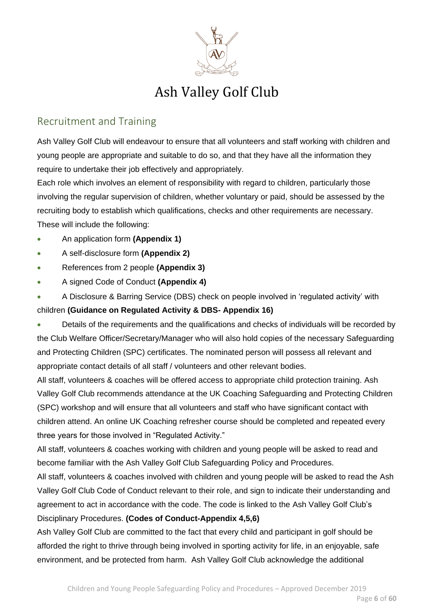

### <span id="page-5-0"></span>Recruitment and Training

Ash Valley Golf Club will endeavour to ensure that all volunteers and staff working with children and young people are appropriate and suitable to do so, and that they have all the information they require to undertake their job effectively and appropriately.

Each role which involves an element of responsibility with regard to children, particularly those involving the regular supervision of children, whether voluntary or paid, should be assessed by the recruiting body to establish which qualifications, checks and other requirements are necessary. These will include the following:

- An application form **(Appendix 1)**
- A self-disclosure form **(Appendix 2)**
- References from 2 people **(Appendix 3)**
- A signed Code of Conduct **(Appendix 4)**
- A Disclosure & Barring Service (DBS) check on people involved in 'regulated activity' with

### children **(Guidance on Regulated Activity & DBS- Appendix 16)**

• Details of the requirements and the qualifications and checks of individuals will be recorded by the Club Welfare Officer/Secretary/Manager who will also hold copies of the necessary Safeguarding and Protecting Children (SPC) certificates. The nominated person will possess all relevant and appropriate contact details of all staff / volunteers and other relevant bodies.

All staff, volunteers & coaches will be offered access to appropriate child protection training. Ash Valley Golf Club recommends attendance at the UK Coaching Safeguarding and Protecting Children (SPC) workshop and will ensure that all volunteers and staff who have significant contact with children attend. An online UK Coaching refresher course should be completed and repeated every three years for those involved in "Regulated Activity."

All staff, volunteers & coaches working with children and young people will be asked to read and become familiar with the Ash Valley Golf Club Safeguarding Policy and Procedures.

All staff, volunteers & coaches involved with children and young people will be asked to read the Ash Valley Golf Club Code of Conduct relevant to their role, and sign to indicate their understanding and agreement to act in accordance with the code. The code is linked to the Ash Valley Golf Club's Disciplinary Procedures. **(Codes of Conduct-Appendix 4,5,6)**

Ash Valley Golf Club are committed to the fact that every child and participant in golf should be afforded the right to thrive through being involved in sporting activity for life, in an enjoyable, safe environment, and be protected from harm. Ash Valley Golf Club acknowledge the additional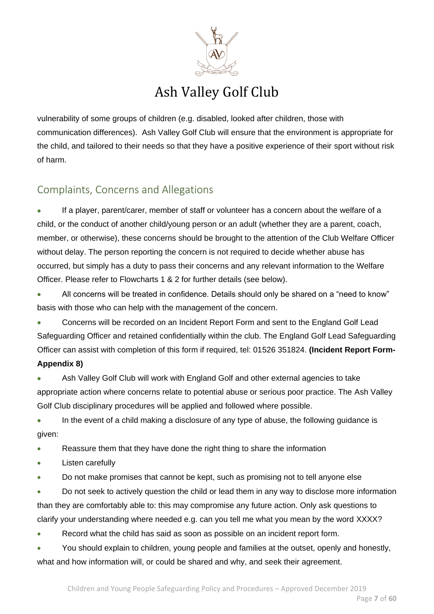

vulnerability of some groups of children (e.g. disabled, looked after children, those with communication differences). Ash Valley Golf Club will ensure that the environment is appropriate for the child, and tailored to their needs so that they have a positive experience of their sport without risk of harm.

### <span id="page-6-0"></span>Complaints, Concerns and Allegations

If a player, parent/carer, member of staff or volunteer has a concern about the welfare of a child, or the conduct of another child/young person or an adult (whether they are a parent, coach, member, or otherwise), these concerns should be brought to the attention of the Club Welfare Officer without delay. The person reporting the concern is not required to decide whether abuse has occurred, but simply has a duty to pass their concerns and any relevant information to the Welfare Officer. Please refer to Flowcharts 1 & 2 for further details (see below).

• All concerns will be treated in confidence. Details should only be shared on a "need to know" basis with those who can help with the management of the concern.

• Concerns will be recorded on an Incident Report Form and sent to the England Golf Lead Safeguarding Officer and retained confidentially within the club. The England Golf Lead Safeguarding Officer can assist with completion of this form if required, tel: 01526 351824. **(Incident Report Form-Appendix 8)**

• Ash Valley Golf Club will work with England Golf and other external agencies to take appropriate action where concerns relate to potential abuse or serious poor practice. The Ash Valley Golf Club disciplinary procedures will be applied and followed where possible.

• In the event of a child making a disclosure of any type of abuse, the following quidance is given:

• Reassure them that they have done the right thing to share the information

Listen carefully

• Do not make promises that cannot be kept, such as promising not to tell anyone else

• Do not seek to actively question the child or lead them in any way to disclose more information than they are comfortably able to: this may compromise any future action. Only ask questions to clarify your understanding where needed e.g. can you tell me what you mean by the word XXXX?

Record what the child has said as soon as possible on an incident report form.

• You should explain to children, young people and families at the outset, openly and honestly, what and how information will, or could be shared and why, and seek their agreement.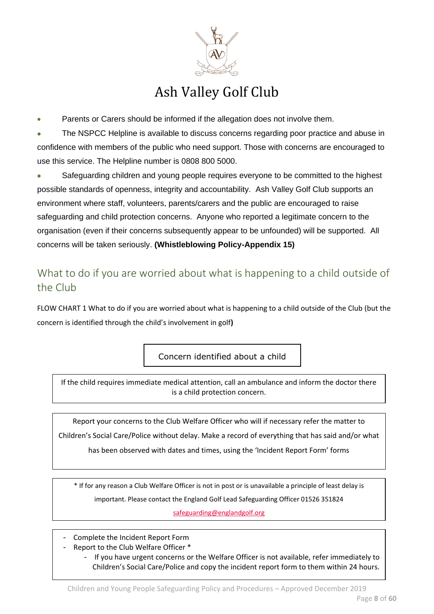

Parents or Carers should be informed if the allegation does not involve them.

• The NSPCC Helpline is available to discuss concerns regarding poor practice and abuse in confidence with members of the public who need support. Those with concerns are encouraged to use this service. The Helpline number is 0808 800 5000.

Safeguarding children and young people requires everyone to be committed to the highest possible standards of openness, integrity and accountability. Ash Valley Golf Club supports an environment where staff, volunteers, parents/carers and the public are encouraged to raise safeguarding and child protection concerns. Anyone who reported a legitimate concern to the organisation (even if their concerns subsequently appear to be unfounded) will be supported. All concerns will be taken seriously. **(Whistleblowing Policy-Appendix 15)**

### <span id="page-7-0"></span>What to do if you are worried about what is happening to a child outside of the Club

FLOW CHART 1 What to do if you are worried about what is happening to a child outside of the Club (but the concern is identified through the child's involvement in golf**)**

Concern identified about a child

If the child requires immediate medical attention, call an ambulance and inform the doctor there is a child protection concern.

Report your concerns to the Club Welfare Officer who will if necessary refer the matter to Children's Social Care/Police without delay. Make a record of everything that has said and/or what

has been observed with dates and times, using the 'Incident Report Form' forms

\* If for any reason a Club Welfare Officer is not in post or is unavailable a principle of least delay is important. Please contact the England Golf Lead Safeguarding Officer 01526 351824

[safeguarding@englandgolf.org](mailto:safeguarding@englandgolf.org)

- Complete the Incident Report Form
- Report to the Club Welfare Officer \*
	- If you have urgent concerns or the Welfare Officer is not available, refer immediately to Children's Social Care/Police and copy the incident report form to them within 24 hours.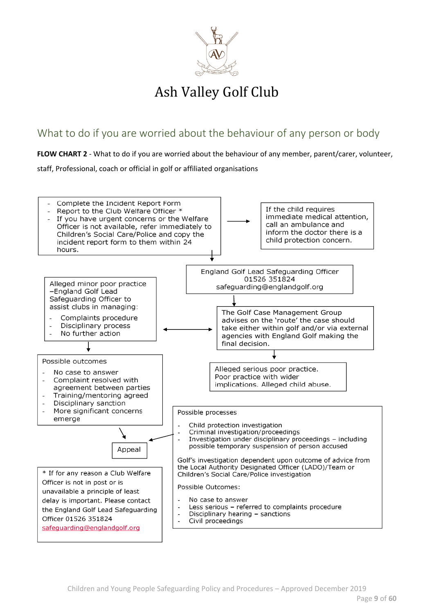

### <span id="page-8-0"></span>What to do if you are worried about the behaviour of any person or body

**FLOW CHART 2** - What to do if you are worried about the behaviour of any member, parent/carer, volunteer,

staff, Professional, coach or official in golf or affiliated organisations

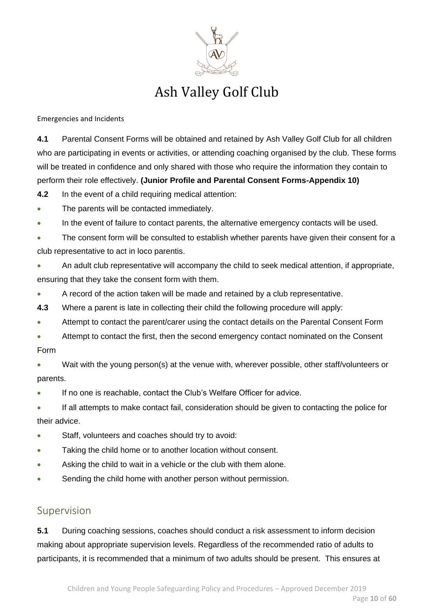

Emergencies and Incidents

**4.1** Parental Consent Forms will be obtained and retained by Ash Valley Golf Club for all children who are participating in events or activities, or attending coaching organised by the club. These forms will be treated in confidence and only shared with those who require the information they contain to perform their role effectively. **(Junior Profile and Parental Consent Forms-Appendix 10)**

**4.2** In the event of a child requiring medical attention:

- The parents will be contacted immediately.
- In the event of failure to contact parents, the alternative emergency contacts will be used.
- The consent form will be consulted to establish whether parents have given their consent for a club representative to act in loco parentis.
- An adult club representative will accompany the child to seek medical attention, if appropriate, ensuring that they take the consent form with them.
- A record of the action taken will be made and retained by a club representative.
- **4.3** Where a parent is late in collecting their child the following procedure will apply:
- Attempt to contact the parent/carer using the contact details on the Parental Consent Form
- Attempt to contact the first, then the second emergency contact nominated on the Consent Form
- Wait with the young person(s) at the venue with, wherever possible, other staff/volunteers or parents.
- If no one is reachable, contact the Club's Welfare Officer for advice.
- If all attempts to make contact fail, consideration should be given to contacting the police for their advice.
- Staff, volunteers and coaches should try to avoid:
- Taking the child home or to another location without consent.
- Asking the child to wait in a vehicle or the club with them alone.
- Sending the child home with another person without permission.

### <span id="page-9-0"></span>Supervision

**5.1** During coaching sessions, coaches should conduct a risk assessment to inform decision making about appropriate supervision levels. Regardless of the recommended ratio of adults to participants, it is recommended that a minimum of two adults should be present. This ensures at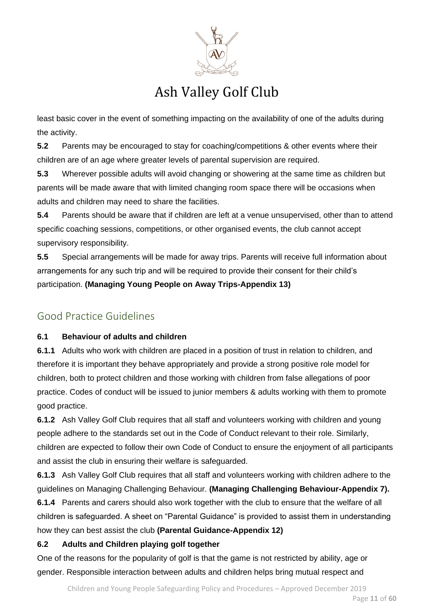

least basic cover in the event of something impacting on the availability of one of the adults during the activity.

**5.2** Parents may be encouraged to stay for coaching/competitions & other events where their children are of an age where greater levels of parental supervision are required.

**5.3** Wherever possible adults will avoid changing or showering at the same time as children but parents will be made aware that with limited changing room space there will be occasions when adults and children may need to share the facilities.

**5.4** Parents should be aware that if children are left at a venue unsupervised, other than to attend specific coaching sessions, competitions, or other organised events, the club cannot accept supervisory responsibility.

**5.5** Special arrangements will be made for away trips. Parents will receive full information about arrangements for any such trip and will be required to provide their consent for their child's participation. **(Managing Young People on Away Trips-Appendix 13)**

### <span id="page-10-0"></span>Good Practice Guidelines

### **6.1 Behaviour of adults and children**

**6.1.1** Adults who work with children are placed in a position of trust in relation to children, and therefore it is important they behave appropriately and provide a strong positive role model for children, both to protect children and those working with children from false allegations of poor practice. Codes of conduct will be issued to junior members & adults working with them to promote good practice.

**6.1.2** Ash Valley Golf Club requires that all staff and volunteers working with children and young people adhere to the standards set out in the Code of Conduct relevant to their role. Similarly, children are expected to follow their own Code of Conduct to ensure the enjoyment of all participants and assist the club in ensuring their welfare is safeguarded.

**6.1.3** Ash Valley Golf Club requires that all staff and volunteers working with children adhere to the guidelines on Managing Challenging Behaviour. **(Managing Challenging Behaviour-Appendix 7).**

**6.1.4** Parents and carers should also work together with the club to ensure that the welfare of all children is safeguarded. A sheet on "Parental Guidance" is provided to assist them in understanding how they can best assist the club **(Parental Guidance-Appendix 12)**

### **6.2 Adults and Children playing golf together**

One of the reasons for the popularity of golf is that the game is not restricted by ability, age or gender. Responsible interaction between adults and children helps bring mutual respect and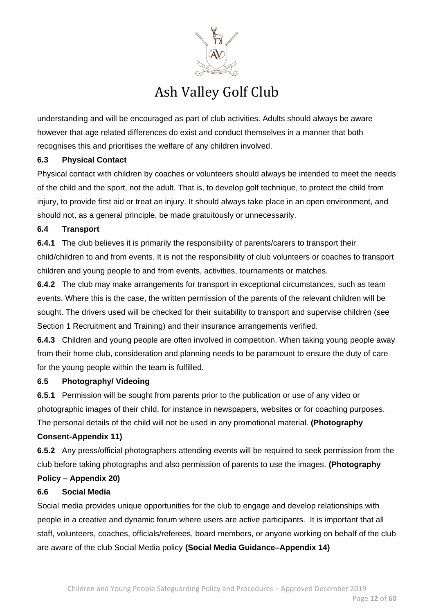

understanding and will be encouraged as part of club activities. Adults should always be aware however that age related differences do exist and conduct themselves in a manner that both recognises this and prioritises the welfare of any children involved.

#### **6.3 Physical Contact**

Physical contact with children by coaches or volunteers should always be intended to meet the needs of the child and the sport, not the adult. That is, to develop golf technique, to protect the child from injury, to provide first aid or treat an injury. It should always take place in an open environment, and should not, as a general principle, be made gratuitously or unnecessarily.

#### **6.4 Transport**

**6.4.1** The club believes it is primarily the responsibility of parents/carers to transport their child/children to and from events. It is not the responsibility of club volunteers or coaches to transport children and young people to and from events, activities, tournaments or matches.

**6.4.2** The club may make arrangements for transport in exceptional circumstances, such as team events. Where this is the case, the written permission of the parents of the relevant children will be sought. The drivers used will be checked for their suitability to transport and supervise children (see Section 1 Recruitment and Training) and their insurance arrangements verified.

**6.4.3** Children and young people are often involved in competition. When taking young people away from their home club, consideration and planning needs to be paramount to ensure the duty of care for the young people within the team is fulfilled.

#### **6.5 Photography/ Videoing**

**6.5.1** Permission will be sought from parents prior to the publication or use of any video or photographic images of their child, for instance in newspapers, websites or for coaching purposes. The personal details of the child will not be used in any promotional material. **(Photography** 

#### **Consent-Appendix 11)**

**6.5.2** Any press/official photographers attending events will be required to seek permission from the club before taking photographs and also permission of parents to use the images. **(Photography** 

### **Policy – Appendix 20)**

#### **6.6 Social Media**

Social media provides unique opportunities for the club to engage and develop relationships with people in a creative and dynamic forum where users are active participants. It is important that all staff, volunteers, coaches, officials/referees, board members, or anyone working on behalf of the club are aware of the club Social Media policy **(Social Media Guidance–Appendix 14)**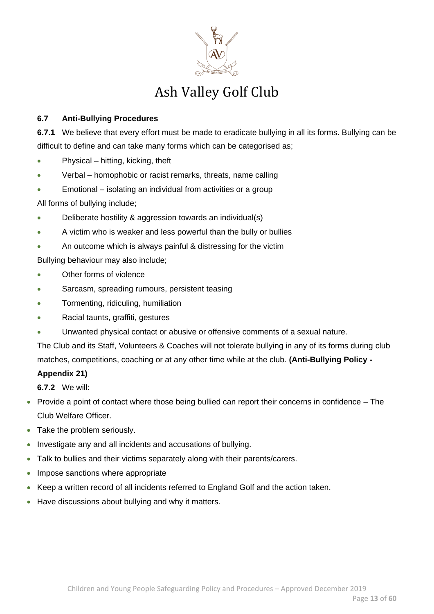

### **6.7 Anti-Bullying Procedures**

**6.7.1** We believe that every effort must be made to eradicate bullying in all its forms. Bullying can be difficult to define and can take many forms which can be categorised as;

- Physical hitting, kicking, theft
- Verbal homophobic or racist remarks, threats, name calling
- Emotional isolating an individual from activities or a group

All forms of bullying include;

- Deliberate hostility & aggression towards an individual(s)
- A victim who is weaker and less powerful than the bully or bullies
- An outcome which is always painful & distressing for the victim

Bullying behaviour may also include;

- Other forms of violence
- Sarcasm, spreading rumours, persistent teasing
- Tormenting, ridiculing, humiliation
- Racial taunts, graffiti, gestures
- Unwanted physical contact or abusive or offensive comments of a sexual nature.

The Club and its Staff, Volunteers & Coaches will not tolerate bullying in any of its forms during club matches, competitions, coaching or at any other time while at the club. **(Anti-Bullying Policy -**

#### **Appendix 21)**

**6.7.2** We will:

- Provide a point of contact where those being bullied can report their concerns in confidence The Club Welfare Officer.
- Take the problem seriously.
- Investigate any and all incidents and accusations of bullying.
- Talk to bullies and their victims separately along with their parents/carers.
- Impose sanctions where appropriate
- Keep a written record of all incidents referred to England Golf and the action taken.
- Have discussions about bullying and why it matters.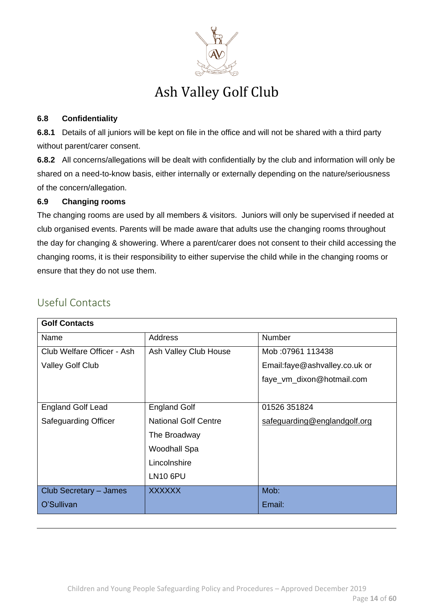

#### **6.8 Confidentiality**

**6.8.1** Details of all juniors will be kept on file in the office and will not be shared with a third party without parent/carer consent.

**6.8.2** All concerns/allegations will be dealt with confidentially by the club and information will only be shared on a need-to-know basis, either internally or externally depending on the nature/seriousness of the concern/allegation.

### **6.9 Changing rooms**

The changing rooms are used by all members & visitors. Juniors will only be supervised if needed at club organised events. Parents will be made aware that adults use the changing rooms throughout the day for changing & showering. Where a parent/carer does not consent to their child accessing the changing rooms, it is their responsibility to either supervise the child while in the changing rooms or ensure that they do not use them.

| <b>Golf Contacts</b>        |                             |                               |
|-----------------------------|-----------------------------|-------------------------------|
| Name                        | Address                     | Number                        |
| Club Welfare Officer - Ash  | Ash Valley Club House       | Mob: 07961 113438             |
| <b>Valley Golf Club</b>     |                             | Email:faye@ashvalley.co.uk or |
|                             |                             | faye_vm_dixon@hotmail.com     |
|                             |                             |                               |
| <b>England Golf Lead</b>    | <b>England Golf</b>         | 01526 351824                  |
| <b>Safeguarding Officer</b> | <b>National Golf Centre</b> | safeguarding@englandgolf.org  |
|                             | The Broadway                |                               |
|                             | <b>Woodhall Spa</b>         |                               |
|                             | Lincolnshire                |                               |
|                             | <b>LN10 6PU</b>             |                               |
| Club Secretary - James      | XXXXXX                      | Mob:                          |
| O'Sullivan                  |                             | Email:                        |

### <span id="page-13-0"></span>Useful Contacts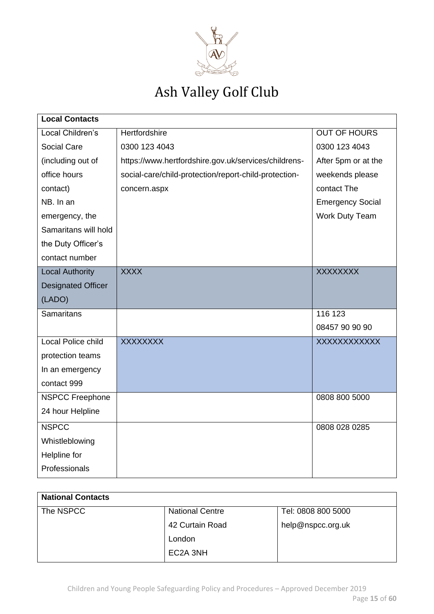

| <b>Local Contacts</b>     |                                                       |                         |
|---------------------------|-------------------------------------------------------|-------------------------|
| Local Children's          | <b>Hertfordshire</b>                                  | <b>OUT OF HOURS</b>     |
| Social Care               | 0300 123 4043                                         | 0300 123 4043           |
| (including out of         | https://www.hertfordshire.gov.uk/services/childrens-  | After 5pm or at the     |
| office hours              | social-care/child-protection/report-child-protection- | weekends please         |
| contact)                  | concern.aspx                                          | contact The             |
| NB. In an                 |                                                       | <b>Emergency Social</b> |
| emergency, the            |                                                       | <b>Work Duty Team</b>   |
| Samaritans will hold      |                                                       |                         |
| the Duty Officer's        |                                                       |                         |
| contact number            |                                                       |                         |
| <b>Local Authority</b>    | <b>XXXX</b>                                           | <b>XXXXXXXX</b>         |
| <b>Designated Officer</b> |                                                       |                         |
| (LADO)                    |                                                       |                         |
| <b>Samaritans</b>         |                                                       | 116 123                 |
|                           |                                                       | 08457 90 90 90          |
| <b>Local Police child</b> | <b>XXXXXXXX</b>                                       | XXXXXXXXXXXX            |
| protection teams          |                                                       |                         |
| In an emergency           |                                                       |                         |
| contact 999               |                                                       |                         |
| <b>NSPCC Freephone</b>    |                                                       | 0808 800 5000           |
| 24 hour Helpline          |                                                       |                         |
| <b>NSPCC</b>              |                                                       | 0808 028 0285           |
| Whistleblowing            |                                                       |                         |
| Helpline for              |                                                       |                         |
| Professionals             |                                                       |                         |

| <b>National Contacts</b> |                        |                    |
|--------------------------|------------------------|--------------------|
| The NSPCC                | <b>National Centre</b> | Tel: 0808 800 5000 |
|                          | 42 Curtain Road        | help@nspcc.org.uk  |
|                          | London                 |                    |
|                          | EC2A 3NH               |                    |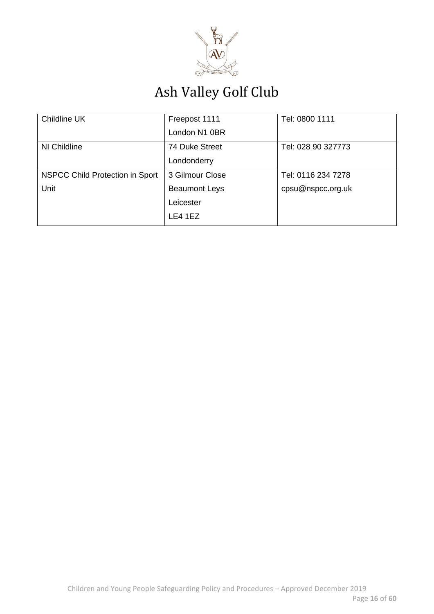

| Childline UK                    | Freepost 1111        | Tel: 0800 1111     |
|---------------------------------|----------------------|--------------------|
|                                 | London N1 0BR        |                    |
| NI Childline                    | 74 Duke Street       | Tel: 028 90 327773 |
|                                 | Londonderry          |                    |
| NSPCC Child Protection in Sport | 3 Gilmour Close      | Tel: 0116 234 7278 |
| Unit                            | <b>Beaumont Leys</b> | cpsu@nspcc.org.uk  |
|                                 | Leicester            |                    |
|                                 | LE4 1EZ              |                    |
|                                 |                      |                    |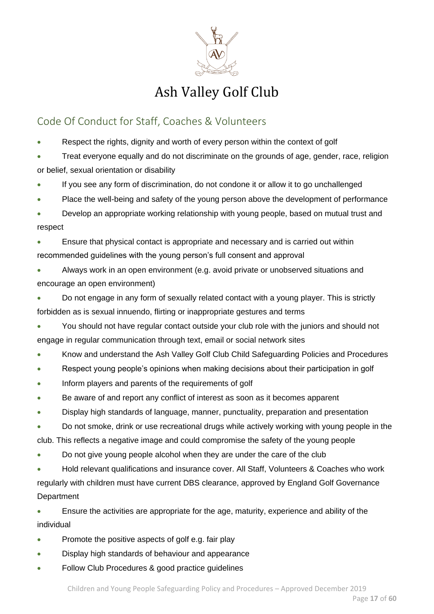

### <span id="page-16-0"></span>Code Of Conduct for Staff, Coaches & Volunteers

Respect the rights, dignity and worth of every person within the context of golf

• Treat everyone equally and do not discriminate on the grounds of age, gender, race, religion or belief, sexual orientation or disability

- If you see any form of discrimination, do not condone it or allow it to go unchallenged
- Place the well-being and safety of the young person above the development of performance
- Develop an appropriate working relationship with young people, based on mutual trust and respect

• Ensure that physical contact is appropriate and necessary and is carried out within recommended guidelines with the young person's full consent and approval

- Always work in an open environment (e.g. avoid private or unobserved situations and encourage an open environment)
- Do not engage in any form of sexually related contact with a young player. This is strictly forbidden as is sexual innuendo, flirting or inappropriate gestures and terms
- You should not have regular contact outside your club role with the juniors and should not engage in regular communication through text, email or social network sites
- Know and understand the Ash Valley Golf Club Child Safeguarding Policies and Procedures
- Respect young people's opinions when making decisions about their participation in golf
- Inform players and parents of the requirements of golf
- Be aware of and report any conflict of interest as soon as it becomes apparent
- Display high standards of language, manner, punctuality, preparation and presentation
- Do not smoke, drink or use recreational drugs while actively working with young people in the club. This reflects a negative image and could compromise the safety of the young people
- Do not give young people alcohol when they are under the care of the club
- Hold relevant qualifications and insurance cover. All Staff, Volunteers & Coaches who work regularly with children must have current DBS clearance, approved by England Golf Governance **Department**

• Ensure the activities are appropriate for the age, maturity, experience and ability of the individual

- Promote the positive aspects of golf e.g. fair play
- Display high standards of behaviour and appearance
- Follow Club Procedures & good practice guidelines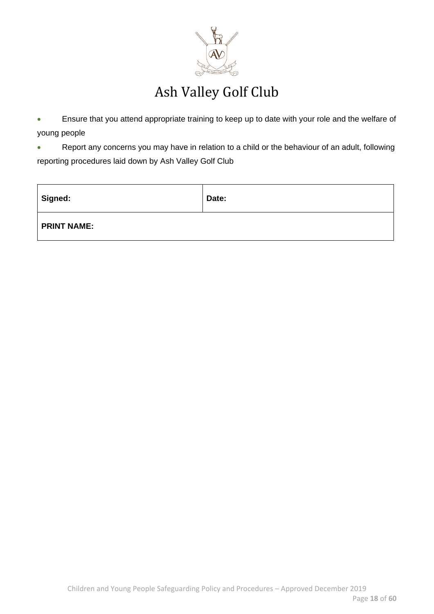

• Ensure that you attend appropriate training to keep up to date with your role and the welfare of young people

• Report any concerns you may have in relation to a child or the behaviour of an adult, following reporting procedures laid down by Ash Valley Golf Club

| Signed:            | Date: |
|--------------------|-------|
| <b>PRINT NAME:</b> |       |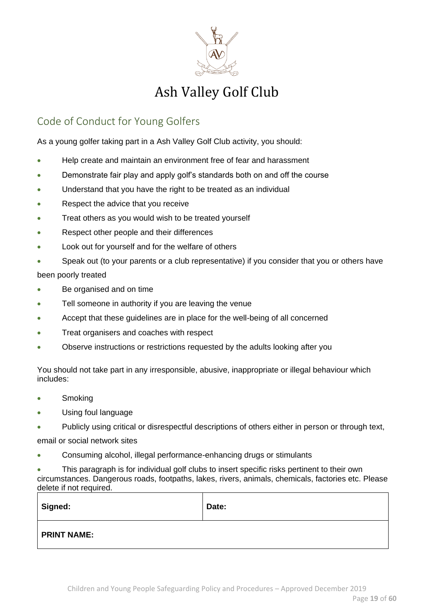

### <span id="page-18-0"></span>Code of Conduct for Young Golfers

As a young golfer taking part in a Ash Valley Golf Club activity, you should:

- Help create and maintain an environment free of fear and harassment
- Demonstrate fair play and apply golf's standards both on and off the course
- Understand that you have the right to be treated as an individual
- Respect the advice that you receive
- Treat others as you would wish to be treated yourself
- Respect other people and their differences
- Look out for yourself and for the welfare of others
- Speak out (to your parents or a club representative) if you consider that you or others have been poorly treated
- Be organised and on time
- Tell someone in authority if you are leaving the venue
- Accept that these guidelines are in place for the well-being of all concerned
- Treat organisers and coaches with respect
- Observe instructions or restrictions requested by the adults looking after you

You should not take part in any irresponsible, abusive, inappropriate or illegal behaviour which includes:

- Smoking
- Using foul language
- Publicly using critical or disrespectful descriptions of others either in person or through text,

email or social network sites

• Consuming alcohol, illegal performance-enhancing drugs or stimulants

• This paragraph is for individual golf clubs to insert specific risks pertinent to their own circumstances. Dangerous roads, footpaths, lakes, rivers, animals, chemicals, factories etc. Please delete if not required.

| <b>Signed:</b>     | Date: |
|--------------------|-------|
| <b>PRINT NAME:</b> |       |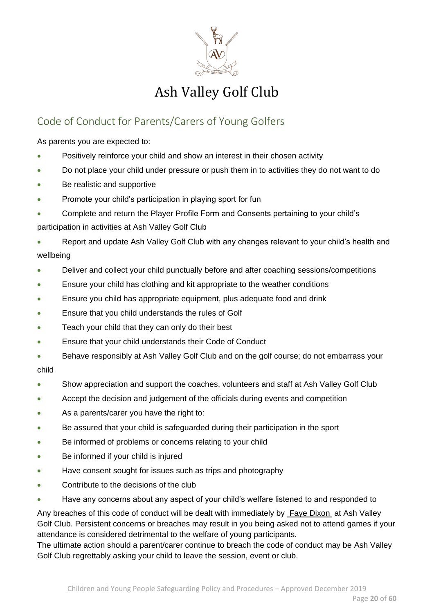

### <span id="page-19-0"></span>Code of Conduct for Parents/Carers of Young Golfers

As parents you are expected to:

- Positively reinforce your child and show an interest in their chosen activity
- Do not place your child under pressure or push them in to activities they do not want to do
- Be realistic and supportive
- Promote your child's participation in playing sport for fun
- Complete and return the Player Profile Form and Consents pertaining to your child's participation in activities at Ash Valley Golf Club
- Report and update Ash Valley Golf Club with any changes relevant to your child's health and wellbeing
- Deliver and collect your child punctually before and after coaching sessions/competitions
- Ensure your child has clothing and kit appropriate to the weather conditions
- Ensure you child has appropriate equipment, plus adequate food and drink
- Ensure that you child understands the rules of Golf
- Teach your child that they can only do their best
- Ensure that your child understands their Code of Conduct
- Behave responsibly at Ash Valley Golf Club and on the golf course; do not embarrass your child
- Show appreciation and support the coaches, volunteers and staff at Ash Valley Golf Club
- Accept the decision and judgement of the officials during events and competition
- As a parents/carer you have the right to:
- Be assured that your child is safeguarded during their participation in the sport
- Be informed of problems or concerns relating to your child
- Be informed if your child is injured
- Have consent sought for issues such as trips and photography
- Contribute to the decisions of the club
- Have any concerns about any aspect of your child's welfare listened to and responded to

Any breaches of this code of conduct will be dealt with immediately by **Faye Dixon** at Ash Valley Golf Club. Persistent concerns or breaches may result in you being asked not to attend games if your attendance is considered detrimental to the welfare of young participants.

The ultimate action should a parent/carer continue to breach the code of conduct may be Ash Valley Golf Club regrettably asking your child to leave the session, event or club.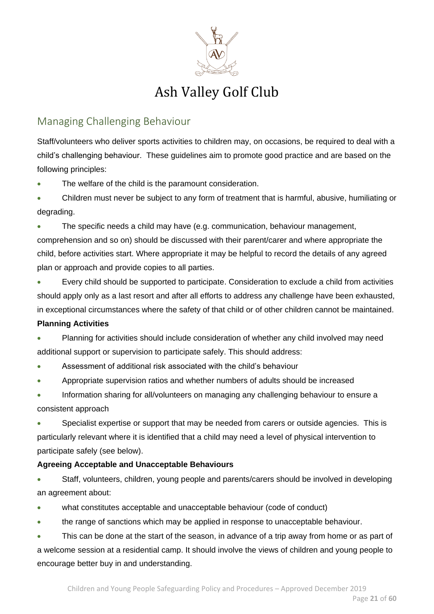

### <span id="page-20-0"></span>Managing Challenging Behaviour

Staff/volunteers who deliver sports activities to children may, on occasions, be required to deal with a child's challenging behaviour. These guidelines aim to promote good practice and are based on the following principles:

- The welfare of the child is the paramount consideration.
- Children must never be subject to any form of treatment that is harmful, abusive, humiliating or degrading.

• The specific needs a child may have (e.g. communication, behaviour management, comprehension and so on) should be discussed with their parent/carer and where appropriate the child, before activities start. Where appropriate it may be helpful to record the details of any agreed plan or approach and provide copies to all parties.

• Every child should be supported to participate. Consideration to exclude a child from activities should apply only as a last resort and after all efforts to address any challenge have been exhausted, in exceptional circumstances where the safety of that child or of other children cannot be maintained.

### **Planning Activities**

- Planning for activities should include consideration of whether any child involved may need additional support or supervision to participate safely. This should address:
- Assessment of additional risk associated with the child's behaviour
- Appropriate supervision ratios and whether numbers of adults should be increased
- Information sharing for all/volunteers on managing any challenging behaviour to ensure a consistent approach

• Specialist expertise or support that may be needed from carers or outside agencies. This is particularly relevant where it is identified that a child may need a level of physical intervention to participate safely (see below).

### **Agreeing Acceptable and Unacceptable Behaviours**

• Staff, volunteers, children, young people and parents/carers should be involved in developing an agreement about:

- what constitutes acceptable and unacceptable behaviour (code of conduct)
- the range of sanctions which may be applied in response to unacceptable behaviour.
- This can be done at the start of the season, in advance of a trip away from home or as part of

a welcome session at a residential camp. It should involve the views of children and young people to encourage better buy in and understanding.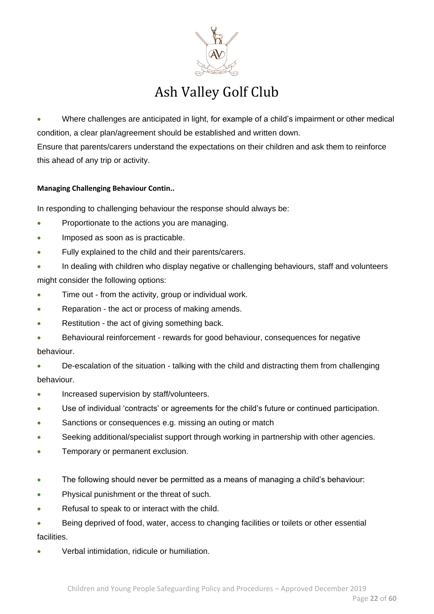

• Where challenges are anticipated in light, for example of a child's impairment or other medical condition, a clear plan/agreement should be established and written down. Ensure that parents/carers understand the expectations on their children and ask them to reinforce this ahead of any trip or activity.

#### **Managing Challenging Behaviour Contin..**

In responding to challenging behaviour the response should always be:

- Proportionate to the actions you are managing.
- Imposed as soon as is practicable.
- Fully explained to the child and their parents/carers.
- In dealing with children who display negative or challenging behaviours, staff and volunteers might consider the following options:
- Time out from the activity, group or individual work.
- Reparation the act or process of making amends.
- Restitution the act of giving something back.
- Behavioural reinforcement rewards for good behaviour, consequences for negative behaviour.
- De-escalation of the situation talking with the child and distracting them from challenging behaviour.
- Increased supervision by staff/volunteers.
- Use of individual 'contracts' or agreements for the child's future or continued participation.
- Sanctions or consequences e.g. missing an outing or match
- Seeking additional/specialist support through working in partnership with other agencies.
- Temporary or permanent exclusion.
- The following should never be permitted as a means of managing a child's behaviour:
- Physical punishment or the threat of such.
- Refusal to speak to or interact with the child.
- Being deprived of food, water, access to changing facilities or toilets or other essential facilities.
- Verbal intimidation, ridicule or humiliation.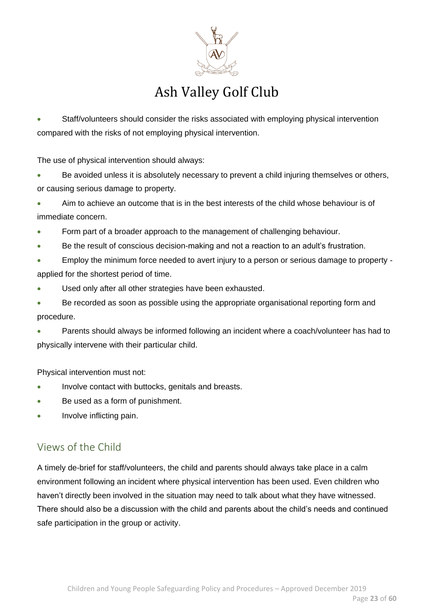

• Staff/volunteers should consider the risks associated with employing physical intervention compared with the risks of not employing physical intervention.

The use of physical intervention should always:

Be avoided unless it is absolutely necessary to prevent a child injuring themselves or others, or causing serious damage to property.

• Aim to achieve an outcome that is in the best interests of the child whose behaviour is of immediate concern.

- Form part of a broader approach to the management of challenging behaviour.
- Be the result of conscious decision-making and not a reaction to an adult's frustration.
- Employ the minimum force needed to avert injury to a person or serious damage to property applied for the shortest period of time.
- Used only after all other strategies have been exhausted.
- Be recorded as soon as possible using the appropriate organisational reporting form and procedure.
- Parents should always be informed following an incident where a coach/volunteer has had to physically intervene with their particular child.

Physical intervention must not:

- Involve contact with buttocks, genitals and breasts.
- Be used as a form of punishment.
- Involve inflicting pain.

### <span id="page-22-0"></span>Views of the Child

A timely de-brief for staff/volunteers, the child and parents should always take place in a calm environment following an incident where physical intervention has been used. Even children who haven't directly been involved in the situation may need to talk about what they have witnessed. There should also be a discussion with the child and parents about the child's needs and continued safe participation in the group or activity.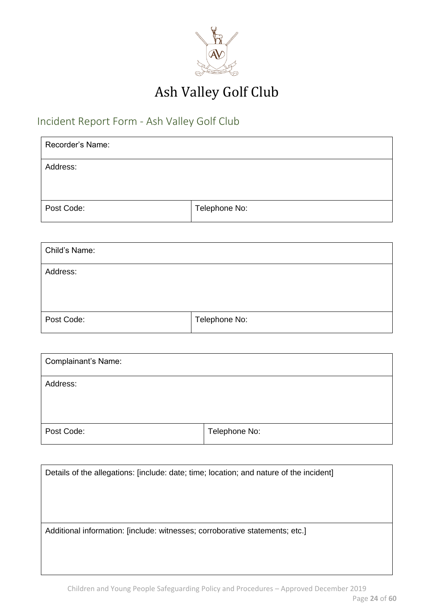

### <span id="page-23-0"></span>Incident Report Form - Ash Valley Golf Club

| Recorder's Name: |               |
|------------------|---------------|
| Address:         |               |
|                  |               |
| Post Code:       | Telephone No: |

| Child's Name: |               |
|---------------|---------------|
| Address:      |               |
|               |               |
| Post Code:    | Telephone No: |

| <b>Complainant's Name:</b> |               |
|----------------------------|---------------|
| Address:                   |               |
|                            |               |
| Post Code:                 | Telephone No: |

| Details of the allegations: [include: date; time; location; and nature of the incident] |
|-----------------------------------------------------------------------------------------|
|                                                                                         |
| Additional information: [include: witnesses; corroborative statements; etc.]            |
|                                                                                         |
|                                                                                         |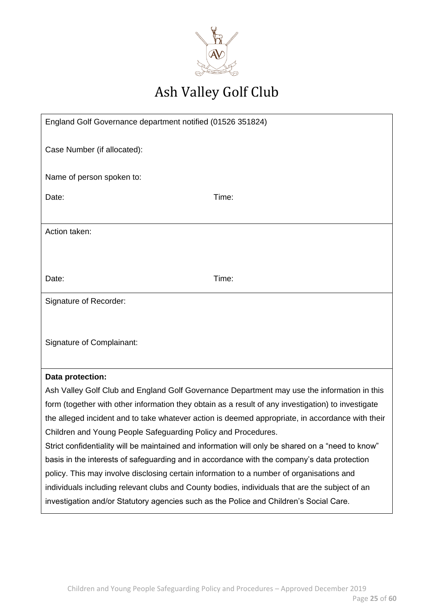

| England Golf Governance department notified (01526 351824)                                     |                                                                                                    |
|------------------------------------------------------------------------------------------------|----------------------------------------------------------------------------------------------------|
| Case Number (if allocated):                                                                    |                                                                                                    |
|                                                                                                |                                                                                                    |
| Name of person spoken to:                                                                      |                                                                                                    |
| Date:                                                                                          | Time:                                                                                              |
|                                                                                                |                                                                                                    |
| Action taken:                                                                                  |                                                                                                    |
|                                                                                                |                                                                                                    |
|                                                                                                |                                                                                                    |
| Date:                                                                                          | Time:                                                                                              |
| Signature of Recorder:                                                                         |                                                                                                    |
|                                                                                                |                                                                                                    |
| <b>Signature of Complainant:</b>                                                               |                                                                                                    |
|                                                                                                |                                                                                                    |
| Data protection:                                                                               |                                                                                                    |
|                                                                                                | Ash Valley Golf Club and England Golf Governance Department may use the information in this        |
|                                                                                                | form (together with other information they obtain as a result of any investigation) to investigate |
|                                                                                                | the alleged incident and to take whatever action is deemed appropriate, in accordance with their   |
| Children and Young People Safeguarding Policy and Procedures.                                  |                                                                                                    |
|                                                                                                | Strict confidentiality will be maintained and information will only be shared on a "need to know"  |
| basis in the interests of safeguarding and in accordance with the company's data protection    |                                                                                                    |
| policy. This may involve disclosing certain information to a number of organisations and       |                                                                                                    |
| individuals including relevant clubs and County bodies, individuals that are the subject of an |                                                                                                    |
| investigation and/or Statutory agencies such as the Police and Children's Social Care.         |                                                                                                    |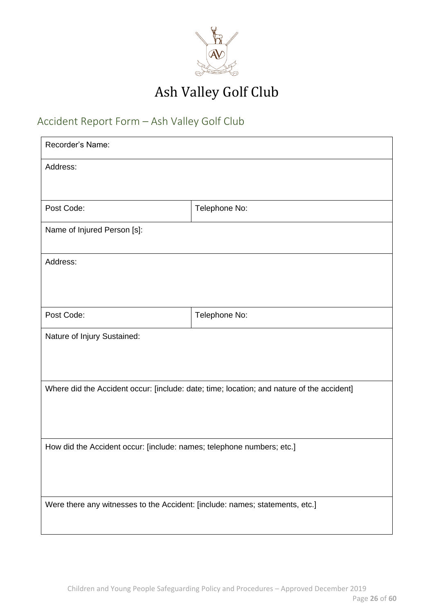

### <span id="page-25-0"></span>Accident Report Form – Ash Valley Golf Club

| Recorder's Name:                                                             |                                                                                           |
|------------------------------------------------------------------------------|-------------------------------------------------------------------------------------------|
| Address:                                                                     |                                                                                           |
|                                                                              |                                                                                           |
| Post Code:                                                                   | Telephone No:                                                                             |
| Name of Injured Person [s]:                                                  |                                                                                           |
| Address:                                                                     |                                                                                           |
|                                                                              |                                                                                           |
| Post Code:                                                                   | Telephone No:                                                                             |
|                                                                              |                                                                                           |
| Nature of Injury Sustained:                                                  |                                                                                           |
|                                                                              |                                                                                           |
|                                                                              | Where did the Accident occur: [include: date; time; location; and nature of the accident] |
|                                                                              |                                                                                           |
|                                                                              |                                                                                           |
| How did the Accident occur: [include: names; telephone numbers; etc.]        |                                                                                           |
|                                                                              |                                                                                           |
|                                                                              |                                                                                           |
| Were there any witnesses to the Accident: [include: names; statements, etc.] |                                                                                           |
|                                                                              |                                                                                           |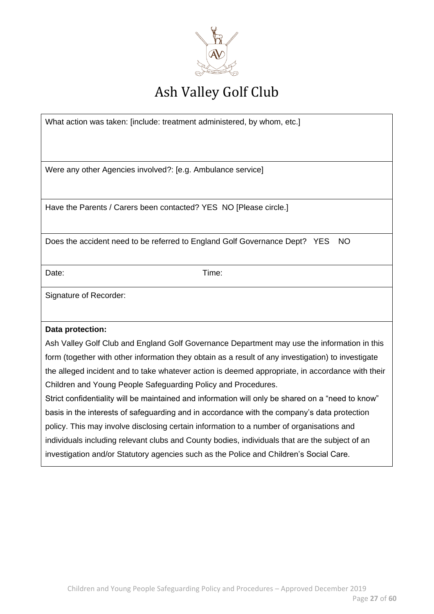

What action was taken: [include: treatment administered, by whom, etc.]

Were any other Agencies involved?: [e.g. Ambulance service] Have the Parents / Carers been contacted? YES NO [Please circle.] Does the accident need to be referred to England Golf Governance Dept? YES NO Date: Time: Signature of Recorder: **Data protection:** Ash Valley Golf Club and England Golf Governance Department may use the information in this form (together with other information they obtain as a result of any investigation) to investigate the alleged incident and to take whatever action is deemed appropriate, in accordance with their Children and Young People Safeguarding Policy and Procedures. Strict confidentiality will be maintained and information will only be shared on a "need to know" basis in the interests of safeguarding and in accordance with the company's data protection policy. This may involve disclosing certain information to a number of organisations and individuals including relevant clubs and County bodies, individuals that are the subject of an investigation and/or Statutory agencies such as the Police and Children's Social Care.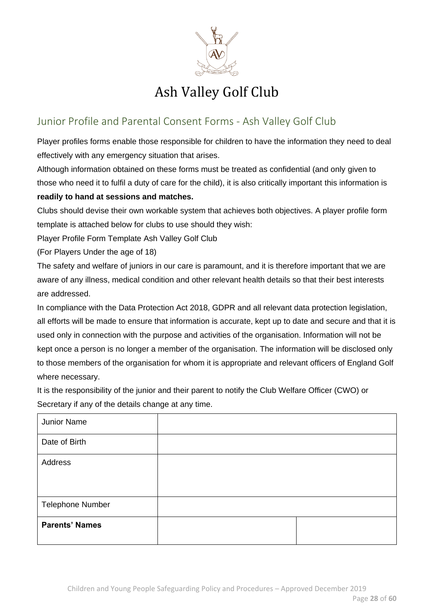

### <span id="page-27-0"></span>Junior Profile and Parental Consent Forms - Ash Valley Golf Club

Player profiles forms enable those responsible for children to have the information they need to deal effectively with any emergency situation that arises.

Although information obtained on these forms must be treated as confidential (and only given to those who need it to fulfil a duty of care for the child), it is also critically important this information is **readily to hand at sessions and matches.**

Clubs should devise their own workable system that achieves both objectives. A player profile form template is attached below for clubs to use should they wish:

Player Profile Form Template Ash Valley Golf Club

(For Players Under the age of 18)

The safety and welfare of juniors in our care is paramount, and it is therefore important that we are aware of any illness, medical condition and other relevant health details so that their best interests are addressed.

In compliance with the Data Protection Act 2018, GDPR and all relevant data protection legislation, all efforts will be made to ensure that information is accurate, kept up to date and secure and that it is used only in connection with the purpose and activities of the organisation. Information will not be kept once a person is no longer a member of the organisation. The information will be disclosed only to those members of the organisation for whom it is appropriate and relevant officers of England Golf where necessary.

It is the responsibility of the junior and their parent to notify the Club Welfare Officer (CWO) or Secretary if any of the details change at any time.

| Junior Name             |  |
|-------------------------|--|
| Date of Birth           |  |
| Address                 |  |
| <b>Telephone Number</b> |  |
| <b>Parents' Names</b>   |  |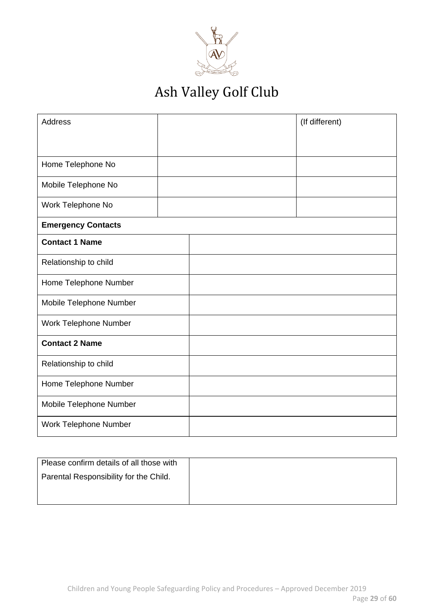

| <b>Address</b>            |  | (If different) |
|---------------------------|--|----------------|
|                           |  |                |
| Home Telephone No         |  |                |
|                           |  |                |
| Mobile Telephone No       |  |                |
| Work Telephone No         |  |                |
| <b>Emergency Contacts</b> |  |                |
| <b>Contact 1 Name</b>     |  |                |
| Relationship to child     |  |                |
| Home Telephone Number     |  |                |
| Mobile Telephone Number   |  |                |
| Work Telephone Number     |  |                |
| <b>Contact 2 Name</b>     |  |                |
| Relationship to child     |  |                |
| Home Telephone Number     |  |                |
| Mobile Telephone Number   |  |                |
| Work Telephone Number     |  |                |

| Please confirm details of all those with |  |
|------------------------------------------|--|
| Parental Responsibility for the Child.   |  |
|                                          |  |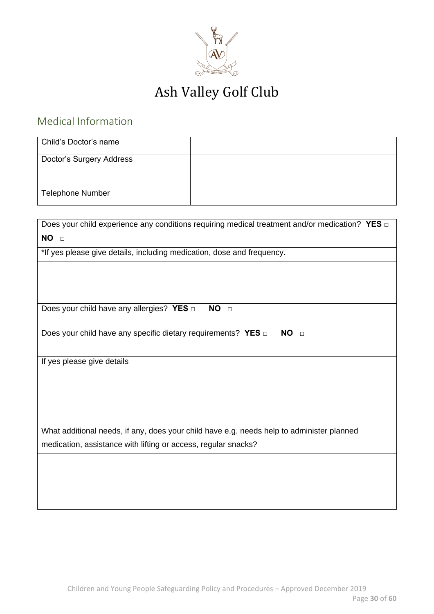

### <span id="page-29-0"></span>Medical Information

| Child's Doctor's name    |  |
|--------------------------|--|
| Doctor's Surgery Address |  |
|                          |  |
| Telephone Number         |  |

| Does your child experience any conditions requiring medical treatment and/or medication? YES $\Box$ |
|-----------------------------------------------------------------------------------------------------|
| NO <sub>D</sub>                                                                                     |
| *If yes please give details, including medication, dose and frequency.                              |
|                                                                                                     |
|                                                                                                     |
|                                                                                                     |
| Does your child have any allergies? YES $\Box$<br>NO <sub>D</sub>                                   |
|                                                                                                     |
| Does your child have any specific dietary requirements? YES of<br>NO <sub>D</sub>                   |
|                                                                                                     |
| If yes please give details                                                                          |
|                                                                                                     |
|                                                                                                     |
|                                                                                                     |
|                                                                                                     |
| What additional needs, if any, does your child have e.g. needs help to administer planned           |
| medication, assistance with lifting or access, regular snacks?                                      |
|                                                                                                     |
|                                                                                                     |
|                                                                                                     |
|                                                                                                     |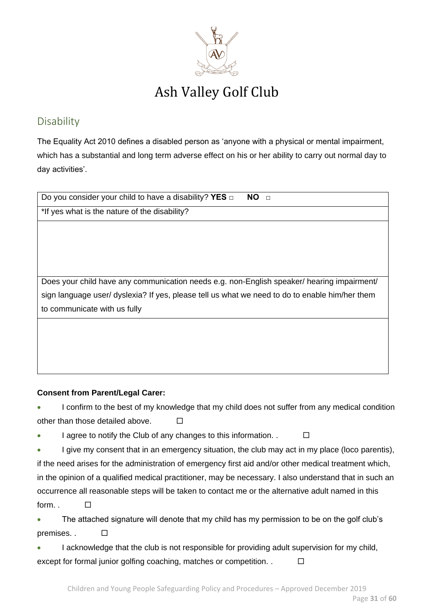

### <span id="page-30-0"></span>Disability

The Equality Act 2010 defines a disabled person as 'anyone with a physical or mental impairment, which has a substantial and long term adverse effect on his or her ability to carry out normal day to day activities'.

| NO <sub>D</sub><br>Do you consider your child to have a disability? YES $\Box$                 |  |  |
|------------------------------------------------------------------------------------------------|--|--|
| *If yes what is the nature of the disability?                                                  |  |  |
|                                                                                                |  |  |
|                                                                                                |  |  |
|                                                                                                |  |  |
|                                                                                                |  |  |
| Does your child have any communication needs e.g. non-English speaker/ hearing impairment/     |  |  |
| sign language user/ dyslexia? If yes, please tell us what we need to do to enable him/her them |  |  |
| to communicate with us fully                                                                   |  |  |
|                                                                                                |  |  |
|                                                                                                |  |  |
|                                                                                                |  |  |

#### **Consent from Parent/Legal Carer:**

I confirm to the best of my knowledge that my child does not suffer from any medical condition other than those detailed above. □

- I agree to notify the Club of any changes to this information.  $\Box$
- I give my consent that in an emergency situation, the club may act in my place (loco parentis), if the need arises for the administration of emergency first aid and/or other medical treatment which, in the opinion of a qualified medical practitioner, may be necessary. I also understand that in such an occurrence all reasonable steps will be taken to contact me or the alternative adult named in this form.  $\Box$

• The attached signature will denote that my child has my permission to be on the golf club's premises. .  $\square$ 

• I acknowledge that the club is not responsible for providing adult supervision for my child, except for formal junior golfing coaching, matches or competition. .  $\Box$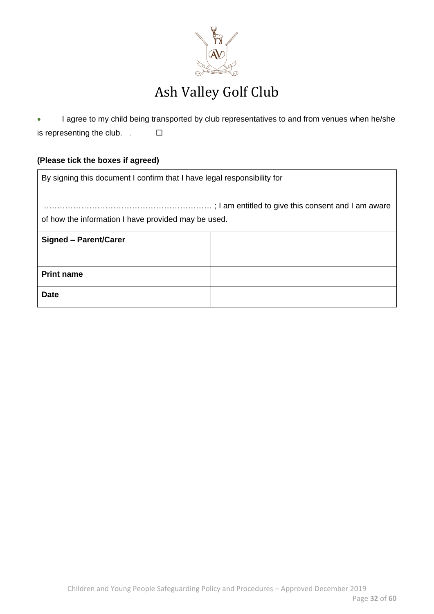

• I agree to my child being transported by club representatives to and from venues when he/she is representing the club.  $\Box$ 

### **(Please tick the boxes if agreed)**

| By signing this document I confirm that I have legal responsibility for |  |  |
|-------------------------------------------------------------------------|--|--|
|                                                                         |  |  |
| of how the information I have provided may be used.                     |  |  |
| <b>Signed - Parent/Carer</b>                                            |  |  |
|                                                                         |  |  |
| <b>Print name</b>                                                       |  |  |
| <b>Date</b>                                                             |  |  |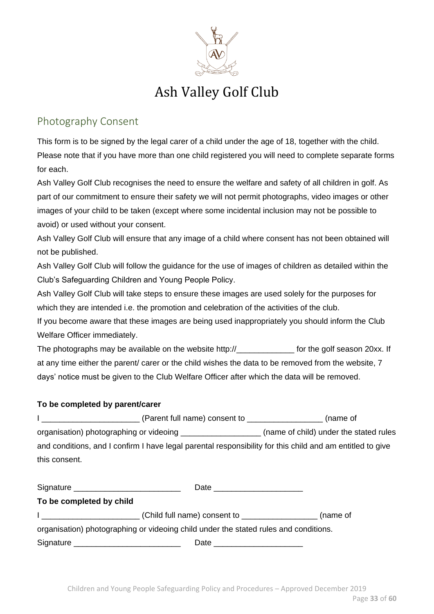

### <span id="page-32-0"></span>Photography Consent

This form is to be signed by the legal carer of a child under the age of 18, together with the child. Please note that if you have more than one child registered you will need to complete separate forms for each.

Ash Valley Golf Club recognises the need to ensure the welfare and safety of all children in golf. As part of our commitment to ensure their safety we will not permit photographs, video images or other images of your child to be taken (except where some incidental inclusion may not be possible to avoid) or used without your consent.

Ash Valley Golf Club will ensure that any image of a child where consent has not been obtained will not be published.

Ash Valley Golf Club will follow the guidance for the use of images of children as detailed within the Club's Safeguarding Children and Young People Policy.

Ash Valley Golf Club will take steps to ensure these images are used solely for the purposes for which they are intended i.e. the promotion and celebration of the activities of the club.

If you become aware that these images are being used inappropriately you should inform the Club Welfare Officer immediately.

The photographs may be available on the website http://\_\_\_\_\_\_\_\_\_\_\_\_\_\_\_\_ for the golf season 20xx. If at any time either the parent/ carer or the child wishes the data to be removed from the website, 7 days' notice must be given to the Club Welfare Officer after which the data will be removed.

### **To be completed by parent/carer**

| (Parent full name) consent to                                                                             | (name of                               |
|-----------------------------------------------------------------------------------------------------------|----------------------------------------|
| organisation) photographing or videoing _____                                                             | (name of child) under the stated rules |
| and conditions, and I confirm I have legal parental responsibility for this child and am entitled to give |                                        |
| this consent.                                                                                             |                                        |

| Signature ______________________________ |                                                                                      |          |
|------------------------------------------|--------------------------------------------------------------------------------------|----------|
| To be completed by child                 |                                                                                      |          |
|                                          |                                                                                      | (name of |
|                                          | organisation) photographing or videoing child under the stated rules and conditions. |          |
|                                          | Date                                                                                 |          |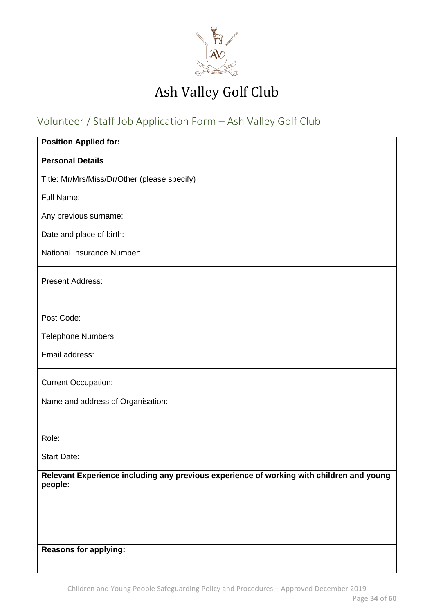

### <span id="page-33-0"></span>Volunteer / Staff Job Application Form – Ash Valley Golf Club

| <b>Position Applied for:</b>                                                                        |
|-----------------------------------------------------------------------------------------------------|
| <b>Personal Details</b>                                                                             |
| Title: Mr/Mrs/Miss/Dr/Other (please specify)                                                        |
| Full Name:                                                                                          |
| Any previous surname:                                                                               |
| Date and place of birth:                                                                            |
| National Insurance Number:                                                                          |
| <b>Present Address:</b>                                                                             |
|                                                                                                     |
| Post Code:                                                                                          |
| Telephone Numbers:                                                                                  |
| Email address:                                                                                      |
| <b>Current Occupation:</b>                                                                          |
| Name and address of Organisation:                                                                   |
|                                                                                                     |
| Role:                                                                                               |
| <b>Start Date:</b>                                                                                  |
| Relevant Experience including any previous experience of working with children and young<br>people: |
|                                                                                                     |
|                                                                                                     |
|                                                                                                     |
| <b>Reasons for applying:</b>                                                                        |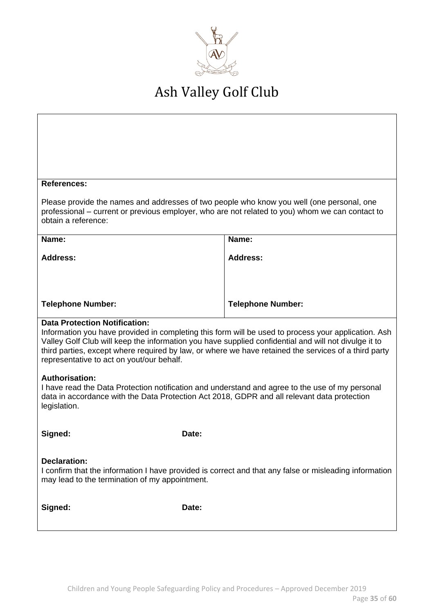

#### **References:**

Please provide the names and addresses of two people who know you well (one personal, one professional – current or previous employer, who are not related to you) whom we can contact to obtain a reference:

| Name:                    | Name:                    |
|--------------------------|--------------------------|
| <b>Address:</b>          | <b>Address:</b>          |
|                          |                          |
|                          |                          |
| <b>Telephone Number:</b> | <b>Telephone Number:</b> |

#### **Data Protection Notification:**

Information you have provided in completing this form will be used to process your application. Ash Valley Golf Club will keep the information you have supplied confidential and will not divulge it to third parties, except where required by law, or where we have retained the services of a third party representative to act on yout/our behalf.

#### **Authorisation:**

I have read the Data Protection notification and understand and agree to the use of my personal data in accordance with the Data Protection Act 2018, GDPR and all relevant data protection legislation.

| Signed: |  |  |
|---------|--|--|
|         |  |  |

Date:

#### **Declaration:**

I confirm that the information I have provided is correct and that any false or misleading information may lead to the termination of my appointment.

**Signed: Date:**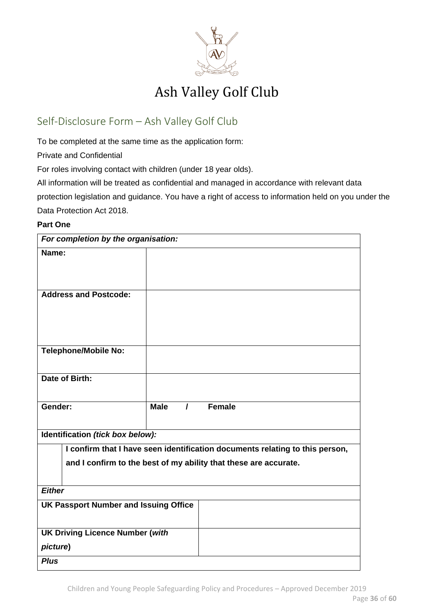

### <span id="page-35-0"></span>Self-Disclosure Form – Ash Valley Golf Club

To be completed at the same time as the application form:

Private and Confidential

For roles involving contact with children (under 18 year olds).

All information will be treated as confidential and managed in accordance with relevant data protection legislation and guidance. You have a right of access to information held on you under the Data Protection Act 2018.

#### **Part One**

| For completion by the organisation:          |                                                                              |  |
|----------------------------------------------|------------------------------------------------------------------------------|--|
| Name:                                        |                                                                              |  |
|                                              |                                                                              |  |
|                                              |                                                                              |  |
| <b>Address and Postcode:</b>                 |                                                                              |  |
|                                              |                                                                              |  |
|                                              |                                                                              |  |
| <b>Telephone/Mobile No:</b>                  |                                                                              |  |
|                                              |                                                                              |  |
| Date of Birth:                               |                                                                              |  |
|                                              |                                                                              |  |
| Gender:                                      | Female<br><b>Male</b><br>$\prime$                                            |  |
|                                              |                                                                              |  |
| Identification (tick box below):             |                                                                              |  |
|                                              | I confirm that I have seen identification documents relating to this person, |  |
|                                              | and I confirm to the best of my ability that these are accurate.             |  |
|                                              |                                                                              |  |
| <b>Either</b>                                |                                                                              |  |
| <b>UK Passport Number and Issuing Office</b> |                                                                              |  |
| <b>UK Driving Licence Number (with</b>       |                                                                              |  |
| picture)                                     |                                                                              |  |
| <b>Plus</b>                                  |                                                                              |  |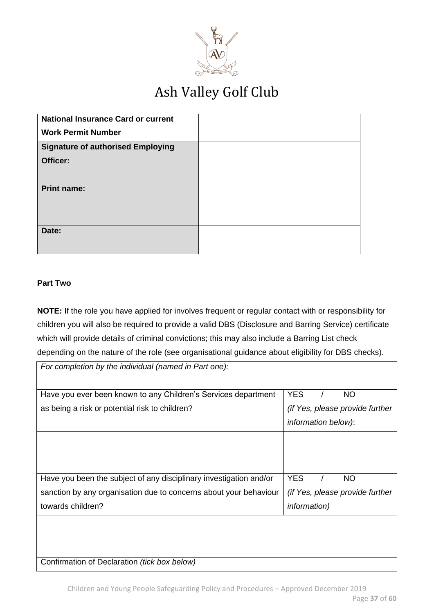

| <b>National Insurance Card or current</b> |  |
|-------------------------------------------|--|
| <b>Work Permit Number</b>                 |  |
| <b>Signature of authorised Employing</b>  |  |
| Officer:                                  |  |
|                                           |  |
| <b>Print name:</b>                        |  |
|                                           |  |
|                                           |  |
| Date:                                     |  |
|                                           |  |
|                                           |  |

#### **Part Two**

**NOTE:** If the role you have applied for involves frequent or regular contact with or responsibility for children you will also be required to provide a valid DBS (Disclosure and Barring Service) certificate which will provide details of criminal convictions; this may also include a Barring List check depending on the nature of the role (see organisational guidance about eligibility for DBS checks).

| For completion by the individual (named in Part one):              |                                 |
|--------------------------------------------------------------------|---------------------------------|
| Have you ever been known to any Children's Services department     | <b>YES</b><br>NO.               |
| as being a risk or potential risk to children?                     | (if Yes, please provide further |
|                                                                    | information below):             |
|                                                                    |                                 |
|                                                                    |                                 |
|                                                                    |                                 |
| Have you been the subject of any disciplinary investigation and/or | <b>NO</b><br>YES                |
| sanction by any organisation due to concerns about your behaviour  | (if Yes, please provide further |
| towards children?                                                  | <i>information</i> )            |
|                                                                    |                                 |
|                                                                    |                                 |
|                                                                    |                                 |
| Confirmation of Declaration (tick box below)                       |                                 |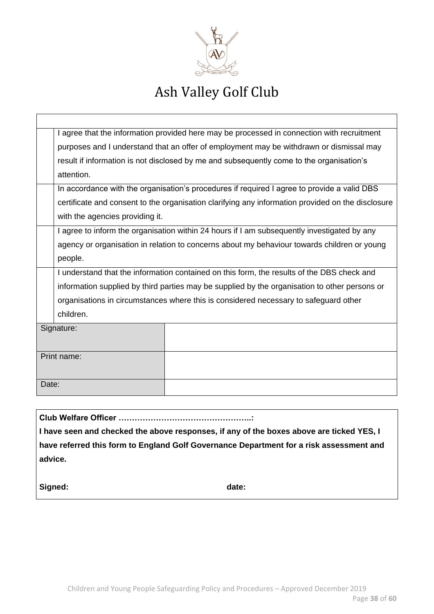

| I agree that the information provided here may be processed in connection with recruitment        |  |  |
|---------------------------------------------------------------------------------------------------|--|--|
| purposes and I understand that an offer of employment may be withdrawn or dismissal may           |  |  |
| result if information is not disclosed by me and subsequently come to the organisation's          |  |  |
| attention.                                                                                        |  |  |
| In accordance with the organisation's procedures if required I agree to provide a valid DBS       |  |  |
| certificate and consent to the organisation clarifying any information provided on the disclosure |  |  |
| with the agencies providing it.                                                                   |  |  |
| I agree to inform the organisation within 24 hours if I am subsequently investigated by any       |  |  |
| agency or organisation in relation to concerns about my behaviour towards children or young       |  |  |
| people.                                                                                           |  |  |
| I understand that the information contained on this form, the results of the DBS check and        |  |  |
| information supplied by third parties may be supplied by the organisation to other persons or     |  |  |
| organisations in circumstances where this is considered necessary to safeguard other              |  |  |
| children.                                                                                         |  |  |
| Signature:                                                                                        |  |  |
|                                                                                                   |  |  |
| Print name:                                                                                       |  |  |
|                                                                                                   |  |  |
| Date:                                                                                             |  |  |
|                                                                                                   |  |  |
| Club Walfare Officer                                                                              |  |  |

**Club Welfare Officer …………………………………………..:**

**I have seen and checked the above responses, if any of the boxes above are ticked YES, I have referred this form to England Golf Governance Department for a risk assessment and advice.**

Signed: **date: date: date:**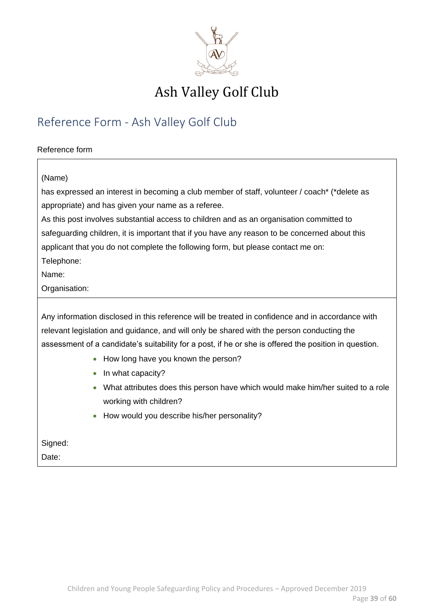

### <span id="page-38-0"></span>Reference Form - Ash Valley Golf Club

#### Reference form

#### (Name)

has expressed an interest in becoming a club member of staff, volunteer / coach\* (\*delete as appropriate) and has given your name as a referee.

As this post involves substantial access to children and as an organisation committed to safeguarding children, it is important that if you have any reason to be concerned about this applicant that you do not complete the following form, but please contact me on: Telephone:

Name:

Organisation:

Any information disclosed in this reference will be treated in confidence and in accordance with relevant legislation and guidance, and will only be shared with the person conducting the assessment of a candidate's suitability for a post, if he or she is offered the position in question.

- How long have you known the person?
- In what capacity?
- What attributes does this person have which would make him/her suited to a role working with children?
- How would you describe his/her personality?

Signed:

Date: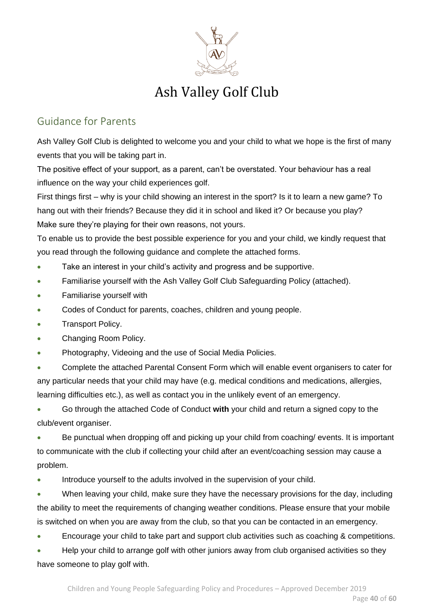

### <span id="page-39-0"></span>Guidance for Parents

Ash Valley Golf Club is delighted to welcome you and your child to what we hope is the first of many events that you will be taking part in.

The positive effect of your support, as a parent, can't be overstated. Your behaviour has a real influence on the way your child experiences golf.

First things first – why is your child showing an interest in the sport? Is it to learn a new game? To hang out with their friends? Because they did it in school and liked it? Or because you play? Make sure they're playing for their own reasons, not yours.

To enable us to provide the best possible experience for you and your child, we kindly request that you read through the following guidance and complete the attached forms.

- Take an interest in your child's activity and progress and be supportive.
- Familiarise yourself with the Ash Valley Golf Club Safeguarding Policy (attached).
- Familiarise yourself with
- Codes of Conduct for parents, coaches, children and young people.
- Transport Policy.
- Changing Room Policy.
- Photography, Videoing and the use of Social Media Policies.

• Complete the attached Parental Consent Form which will enable event organisers to cater for any particular needs that your child may have (e.g. medical conditions and medications, allergies, learning difficulties etc.), as well as contact you in the unlikely event of an emergency.

• Go through the attached Code of Conduct **with** your child and return a signed copy to the club/event organiser.

• Be punctual when dropping off and picking up your child from coaching/ events. It is important to communicate with the club if collecting your child after an event/coaching session may cause a problem.

• Introduce yourself to the adults involved in the supervision of your child.

• When leaving your child, make sure they have the necessary provisions for the day, including the ability to meet the requirements of changing weather conditions. Please ensure that your mobile is switched on when you are away from the club, so that you can be contacted in an emergency.

• Encourage your child to take part and support club activities such as coaching & competitions.

• Help your child to arrange golf with other juniors away from club organised activities so they have someone to play golf with.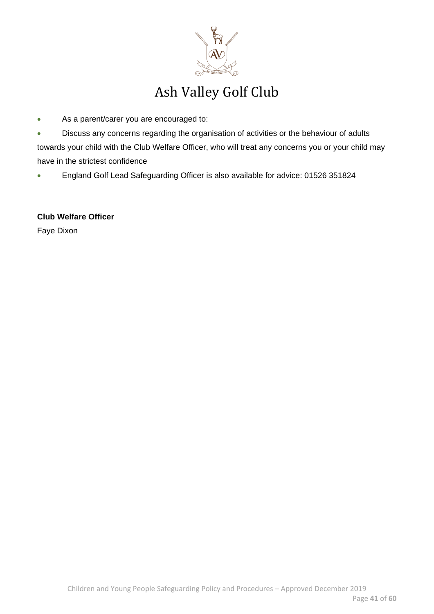

- As a parent/carer you are encouraged to:
- Discuss any concerns regarding the organisation of activities or the behaviour of adults towards your child with the Club Welfare Officer, who will treat any concerns you or your child may have in the strictest confidence
- England Golf Lead Safeguarding Officer is also available for advice: 01526 351824

**Club Welfare Officer** Faye Dixon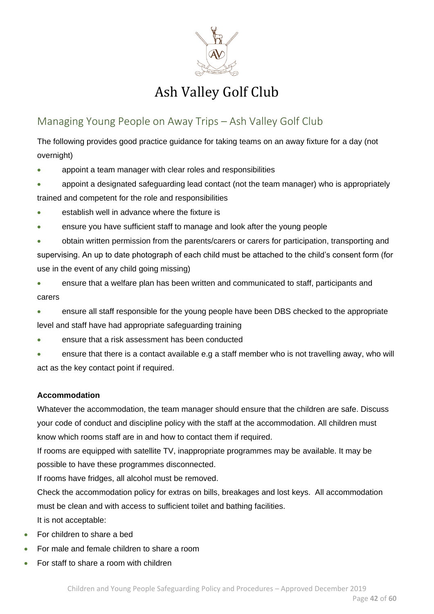

### <span id="page-41-0"></span>Managing Young People on Away Trips – Ash Valley Golf Club

The following provides good practice guidance for taking teams on an away fixture for a day (not overnight)

- appoint a team manager with clear roles and responsibilities
- appoint a designated safeguarding lead contact (not the team manager) who is appropriately trained and competent for the role and responsibilities
- establish well in advance where the fixture is
- ensure you have sufficient staff to manage and look after the young people
- obtain written permission from the parents/carers or carers for participation, transporting and supervising. An up to date photograph of each child must be attached to the child's consent form (for use in the event of any child going missing)
- ensure that a welfare plan has been written and communicated to staff, participants and carers
- ensure all staff responsible for the young people have been DBS checked to the appropriate level and staff have had appropriate safeguarding training
- ensure that a risk assessment has been conducted
- ensure that there is a contact available e.g a staff member who is not travelling away, who will act as the key contact point if required.

#### **Accommodation**

Whatever the accommodation, the team manager should ensure that the children are safe. Discuss your code of conduct and discipline policy with the staff at the accommodation. All children must know which rooms staff are in and how to contact them if required.

If rooms are equipped with satellite TV, inappropriate programmes may be available. It may be possible to have these programmes disconnected.

If rooms have fridges, all alcohol must be removed.

Check the accommodation policy for extras on bills, breakages and lost keys. All accommodation must be clean and with access to sufficient toilet and bathing facilities. It is not acceptable:

- For children to share a bed
- For male and female children to share a room
- For staff to share a room with children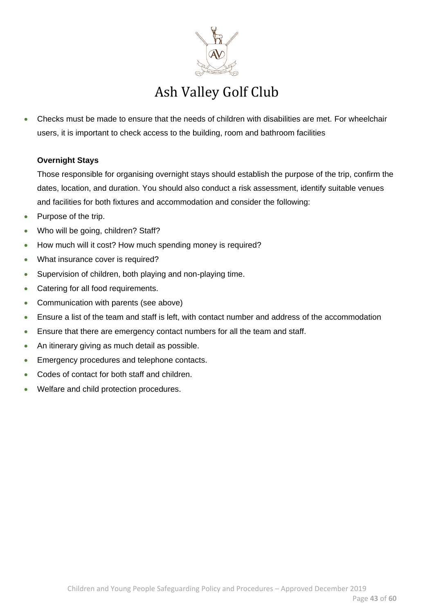

• Checks must be made to ensure that the needs of children with disabilities are met. For wheelchair users, it is important to check access to the building, room and bathroom facilities

### **Overnight Stays**

Those responsible for organising overnight stays should establish the purpose of the trip, confirm the dates, location, and duration. You should also conduct a risk assessment, identify suitable venues and facilities for both fixtures and accommodation and consider the following:

- Purpose of the trip.
- Who will be going, children? Staff?
- How much will it cost? How much spending money is required?
- What insurance cover is required?
- Supervision of children, both playing and non-playing time.
- Catering for all food requirements.
- Communication with parents (see above)
- Ensure a list of the team and staff is left, with contact number and address of the accommodation
- Ensure that there are emergency contact numbers for all the team and staff.
- An itinerary giving as much detail as possible.
- Emergency procedures and telephone contacts.
- Codes of contact for both staff and children.
- Welfare and child protection procedures.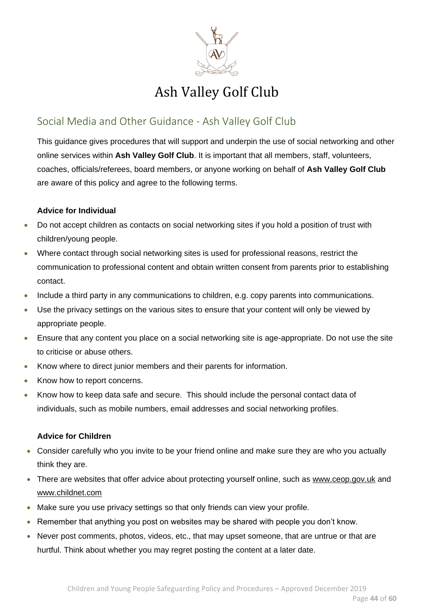

### <span id="page-43-0"></span>Social Media and Other Guidance - Ash Valley Golf Club

This guidance gives procedures that will support and underpin the use of social networking and other online services within **Ash Valley Golf Club**. It is important that all members, staff, volunteers, coaches, officials/referees, board members, or anyone working on behalf of **Ash Valley Golf Club** are aware of this policy and agree to the following terms.

### **Advice for Individual**

- Do not accept children as contacts on social networking sites if you hold a position of trust with children/young people.
- Where contact through social networking sites is used for professional reasons, restrict the communication to professional content and obtain written consent from parents prior to establishing contact.
- Include a third party in any communications to children, e.g. copy parents into communications.
- Use the privacy settings on the various sites to ensure that your content will only be viewed by appropriate people.
- Ensure that any content you place on a social networking site is age-appropriate. Do not use the site to criticise or abuse others.
- Know where to direct junior members and their parents for information.
- Know how to report concerns.
- Know how to keep data safe and secure. This should include the personal contact data of individuals, such as mobile numbers, email addresses and social networking profiles.

#### **Advice for Children**

- Consider carefully who you invite to be your friend online and make sure they are who you actually think they are.
- There are websites that offer advice about protecting yourself online, such as [www.ceop.gov.uk](http://www.ceop.gov.uk/) and [www.childnet.com](http://www.childnet.com/)
- Make sure you use privacy settings so that only friends can view your profile.
- Remember that anything you post on websites may be shared with people you don't know.
- Never post comments, photos, videos, etc., that may upset someone, that are untrue or that are hurtful. Think about whether you may regret posting the content at a later date.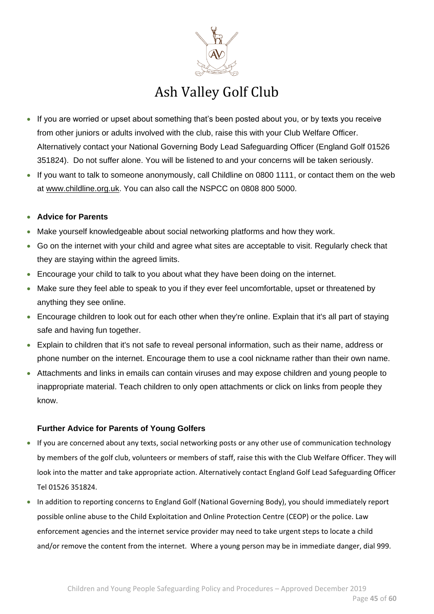

- If you are worried or upset about something that's been posted about you, or by texts you receive from other juniors or adults involved with the club, raise this with your Club Welfare Officer. Alternatively contact your National Governing Body Lead Safeguarding Officer (England Golf 01526 351824). Do not suffer alone. You will be listened to and your concerns will be taken seriously.
- If you want to talk to someone anonymously, call Childline on 0800 1111, or contact them on the web at [www.childline.org.uk.](http://www.childline.org.uk/) You can also call the NSPCC on 0808 800 5000.

#### • **Advice for Parents**

- Make yourself knowledgeable about social networking platforms and how they work.
- Go on the internet with your child and agree what sites are acceptable to visit. Regularly check that they are staying within the agreed limits.
- Encourage your child to talk to you about what they have been doing on the internet.
- Make sure they feel able to speak to you if they ever feel uncomfortable, upset or threatened by anything they see online.
- Encourage children to look out for each other when they're online. Explain that it's all part of staying safe and having fun together.
- Explain to children that it's not safe to reveal personal information, such as their name, address or phone number on the internet. Encourage them to use a cool nickname rather than their own name.
- Attachments and links in emails can contain viruses and may expose children and young people to inappropriate material. Teach children to only open attachments or click on links from people they know.

#### **Further Advice for Parents of Young Golfers**

- If you are concerned about any texts, social networking posts or any other use of communication technology by members of the golf club, volunteers or members of staff, raise this with the Club Welfare Officer. They will look into the matter and take appropriate action. Alternatively contact England Golf Lead Safeguarding Officer Tel 01526 351824.
- In addition to reporting concerns to England Golf (National Governing Body), you should immediately report possible online abuse to the Child Exploitation and Online Protection Centre (CEOP) or the police. Law enforcement agencies and the internet service provider may need to take urgent steps to locate a child and/or remove the content from the internet. Where a young person may be in immediate danger, dial 999.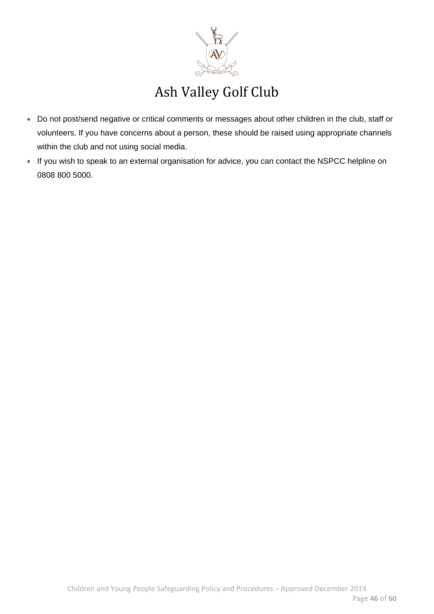

- Do not post/send negative or critical comments or messages about other children in the club, staff or volunteers. If you have concerns about a person, these should be raised using appropriate channels within the club and not using social media.
- If you wish to speak to an external organisation for advice, you can contact the NSPCC helpline on 0808 800 5000.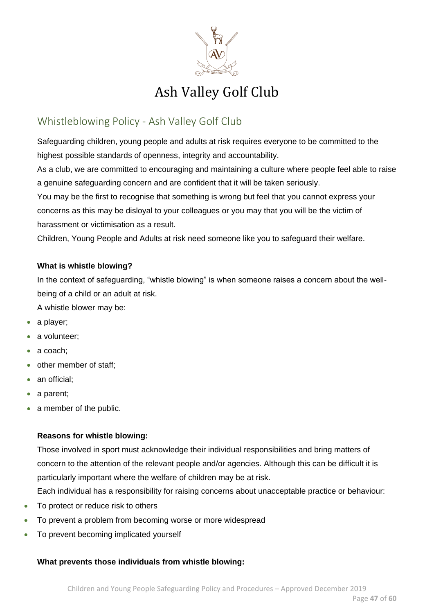

### <span id="page-46-0"></span>Whistleblowing Policy - Ash Valley Golf Club

Safeguarding children, young people and adults at risk requires everyone to be committed to the highest possible standards of openness, integrity and accountability.

As a club, we are committed to encouraging and maintaining a culture where people feel able to raise a genuine safeguarding concern and are confident that it will be taken seriously.

You may be the first to recognise that something is wrong but feel that you cannot express your concerns as this may be disloyal to your colleagues or you may that you will be the victim of harassment or victimisation as a result.

Children, Young People and Adults at risk need someone like you to safeguard their welfare.

#### **What is whistle blowing?**

In the context of safeguarding, "whistle blowing" is when someone raises a concern about the wellbeing of a child or an adult at risk.

A whistle blower may be:

- a player;
- a volunteer;
- a coach;
- other member of staff;
- an official;
- a parent;
- a member of the public.

#### **Reasons for whistle blowing:**

Those involved in sport must acknowledge their individual responsibilities and bring matters of concern to the attention of the relevant people and/or agencies. Although this can be difficult it is particularly important where the welfare of children may be at risk.

Each individual has a responsibility for raising concerns about unacceptable practice or behaviour:

- To protect or reduce risk to others
- To prevent a problem from becoming worse or more widespread
- To prevent becoming implicated yourself

#### **What prevents those individuals from whistle blowing:**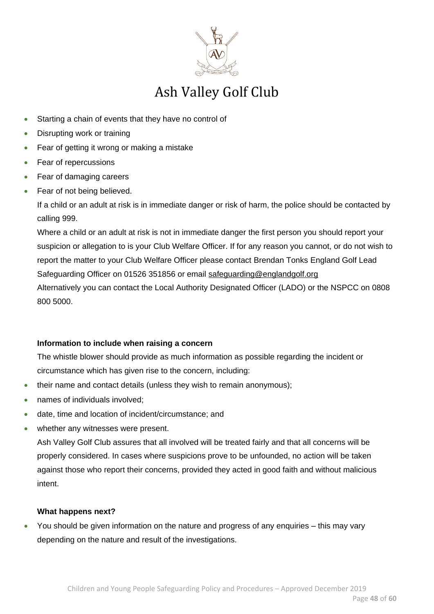

- Starting a chain of events that they have no control of
- Disrupting work or training
- Fear of getting it wrong or making a mistake
- Fear of repercussions
- Fear of damaging careers
- Fear of not being believed.

If a child or an adult at risk is in immediate danger or risk of harm, the police should be contacted by calling 999.

Where a child or an adult at risk is not in immediate danger the first person you should report your suspicion or allegation to is your Club Welfare Officer. If for any reason you cannot, or do not wish to report the matter to your Club Welfare Officer please contact Brendan Tonks England Golf Lead Safeguarding Officer on 01526 351856 or email [safeguarding@englandgolf.org](mailto:safeguarding@englandgolf.org) Alternatively you can contact the Local Authority Designated Officer (LADO) or the NSPCC on 0808 800 5000.

#### **Information to include when raising a concern**

The whistle blower should provide as much information as possible regarding the incident or circumstance which has given rise to the concern, including:

- their name and contact details (unless they wish to remain anonymous);
- names of individuals involved;
- date, time and location of incident/circumstance; and
- whether any witnesses were present.

Ash Valley Golf Club assures that all involved will be treated fairly and that all concerns will be properly considered. In cases where suspicions prove to be unfounded, no action will be taken against those who report their concerns, provided they acted in good faith and without malicious intent.

#### **What happens next?**

• You should be given information on the nature and progress of any enquiries – this may vary depending on the nature and result of the investigations.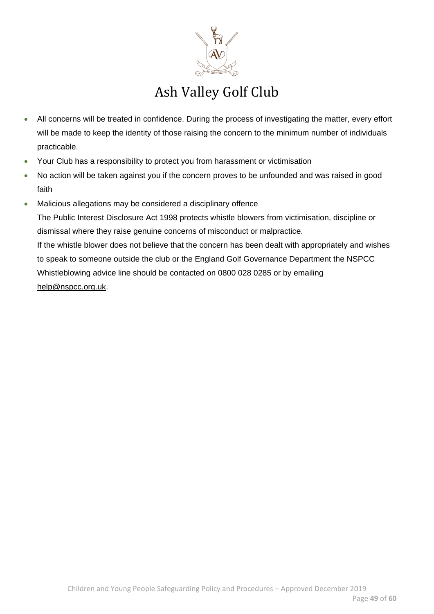

- All concerns will be treated in confidence. During the process of investigating the matter, every effort will be made to keep the identity of those raising the concern to the minimum number of individuals practicable.
- Your Club has a responsibility to protect you from harassment or victimisation
- No action will be taken against you if the concern proves to be unfounded and was raised in good faith
- Malicious allegations may be considered a disciplinary offence The Public Interest Disclosure Act 1998 protects whistle blowers from victimisation, discipline or dismissal where they raise genuine concerns of misconduct or malpractice. If the whistle blower does not believe that the concern has been dealt with appropriately and wishes to speak to someone outside the club or the England Golf Governance Department the NSPCC Whistleblowing advice line should be contacted on 0800 028 0285 or by emailing [help@nspcc.org.uk.](mailto:help@nspcc.org.uk)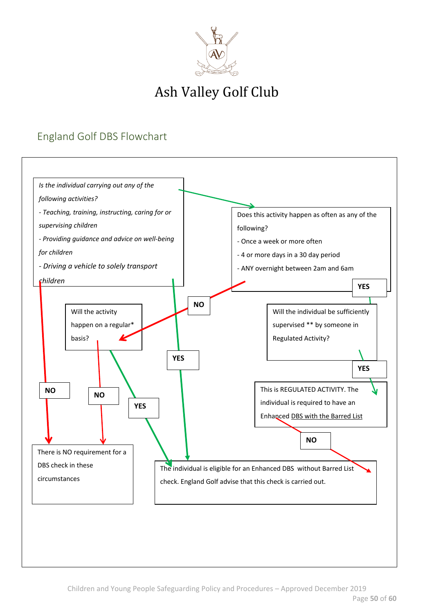

### <span id="page-49-0"></span>England Golf DBS Flowchart

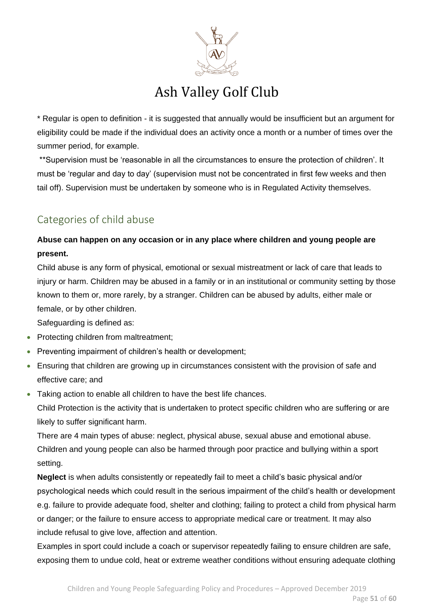

\* Regular is open to definition - it is suggested that annually would be insufficient but an argument for eligibility could be made if the individual does an activity once a month or a number of times over the summer period, for example.

\*\*Supervision must be 'reasonable in all the circumstances to ensure the protection of children'. It must be 'regular and day to day' (supervision must not be concentrated in first few weeks and then tail off). Supervision must be undertaken by someone who is in Regulated Activity themselves.

### <span id="page-50-0"></span>Categories of child abuse

### **Abuse can happen on any occasion or in any place where children and young people are present.**

Child abuse is any form of physical, emotional or sexual mistreatment or lack of care that leads to injury or harm. Children may be abused in a family or in an institutional or community setting by those known to them or, more rarely, by a stranger. Children can be abused by adults, either male or female, or by other children.

Safeguarding is defined as:

- Protecting children from maltreatment;
- Preventing impairment of children's health or development;
- Ensuring that children are growing up in circumstances consistent with the provision of safe and effective care; and
- Taking action to enable all children to have the best life chances.

Child Protection is the activity that is undertaken to protect specific children who are suffering or are likely to suffer significant harm.

There are 4 main types of abuse: neglect, physical abuse, sexual abuse and emotional abuse. Children and young people can also be harmed through poor practice and bullying within a sport setting.

**Neglect** is when adults consistently or repeatedly fail to meet a child's basic physical and/or psychological needs which could result in the serious impairment of the child's health or development e.g. failure to provide adequate food, shelter and clothing; failing to protect a child from physical harm or danger; or the failure to ensure access to appropriate medical care or treatment. It may also include refusal to give love, affection and attention.

Examples in sport could include a coach or supervisor repeatedly failing to ensure children are safe, exposing them to undue cold, heat or extreme weather conditions without ensuring adequate clothing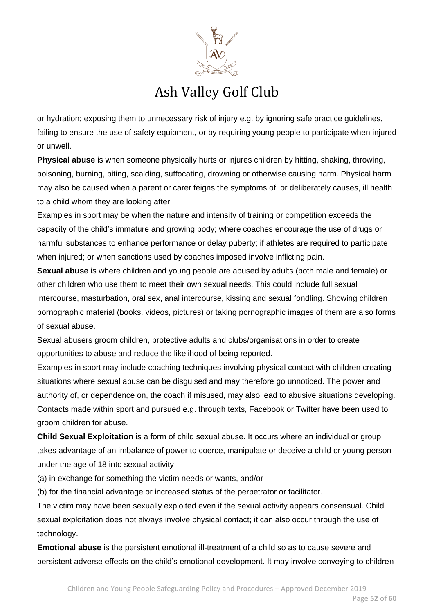

or hydration; exposing them to unnecessary risk of injury e.g. by ignoring safe practice guidelines, failing to ensure the use of safety equipment, or by requiring young people to participate when injured or unwell.

**Physical abuse** is when someone physically hurts or injures children by hitting, shaking, throwing, poisoning, burning, biting, scalding, suffocating, drowning or otherwise causing harm. Physical harm may also be caused when a parent or carer feigns the symptoms of, or deliberately causes, ill health to a child whom they are looking after.

Examples in sport may be when the nature and intensity of training or competition exceeds the capacity of the child's immature and growing body; where coaches encourage the use of drugs or harmful substances to enhance performance or delay puberty; if athletes are required to participate when injured; or when sanctions used by coaches imposed involve inflicting pain.

**Sexual abuse** is where children and young people are abused by adults (both male and female) or other children who use them to meet their own sexual needs. This could include full sexual intercourse, masturbation, oral sex, anal intercourse, kissing and sexual fondling. Showing children pornographic material (books, videos, pictures) or taking pornographic images of them are also forms of sexual abuse.

Sexual abusers groom children, protective adults and clubs/organisations in order to create opportunities to abuse and reduce the likelihood of being reported.

Examples in sport may include coaching techniques involving physical contact with children creating situations where sexual abuse can be disguised and may therefore go unnoticed. The power and authority of, or dependence on, the coach if misused, may also lead to abusive situations developing. Contacts made within sport and pursued e.g. through texts, Facebook or Twitter have been used to groom children for abuse.

**Child Sexual Exploitation** is a form of child sexual abuse. It occurs where an individual or group takes advantage of an imbalance of power to coerce, manipulate or deceive a child or young person under the age of 18 into sexual activity

(a) in exchange for something the victim needs or wants, and/or

(b) for the financial advantage or increased status of the perpetrator or facilitator.

The victim may have been sexually exploited even if the sexual activity appears consensual. Child sexual exploitation does not always involve physical contact; it can also occur through the use of technology.

**Emotional abuse** is the persistent emotional ill-treatment of a child so as to cause severe and persistent adverse effects on the child's emotional development. It may involve conveying to children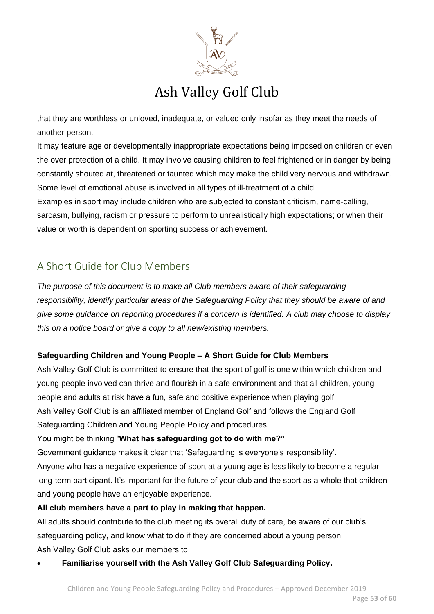

that they are worthless or unloved, inadequate, or valued only insofar as they meet the needs of another person.

It may feature age or developmentally inappropriate expectations being imposed on children or even the over protection of a child. It may involve causing children to feel frightened or in danger by being constantly shouted at, threatened or taunted which may make the child very nervous and withdrawn. Some level of emotional abuse is involved in all types of ill-treatment of a child.

Examples in sport may include children who are subjected to constant criticism, name-calling, sarcasm, bullying, racism or pressure to perform to unrealistically high expectations; or when their value or worth is dependent on sporting success or achievement.

### <span id="page-52-0"></span>A Short Guide for Club Members

*The purpose of this document is to make all Club members aware of their safeguarding responsibility, identify particular areas of the Safeguarding Policy that they should be aware of and give some guidance on reporting procedures if a concern is identified. A club may choose to display this on a notice board or give a copy to all new/existing members.* 

### **Safeguarding Children and Young People – A Short Guide for Club Members**

Ash Valley Golf Club is committed to ensure that the sport of golf is one within which children and young people involved can thrive and flourish in a safe environment and that all children, young people and adults at risk have a fun, safe and positive experience when playing golf. Ash Valley Golf Club is an affiliated member of England Golf and follows the England Golf Safeguarding Children and Young People Policy and procedures.

You might be thinking "**What has safeguarding got to do with me?"**

Government guidance makes it clear that 'Safeguarding is everyone's responsibility'.

Anyone who has a negative experience of sport at a young age is less likely to become a regular long-term participant. It's important for the future of your club and the sport as a whole that children and young people have an enjoyable experience.

### **All club members have a part to play in making that happen.**

All adults should contribute to the club meeting its overall duty of care, be aware of our club's safeguarding policy, and know what to do if they are concerned about a young person. Ash Valley Golf Club asks our members to

• **Familiarise yourself with the Ash Valley Golf Club Safeguarding Policy.**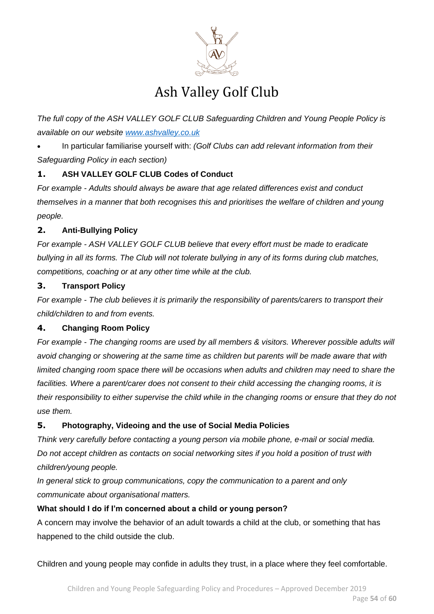

*The full copy of the ASH VALLEY GOLF CLUB Safeguarding Children and Young People Policy is available on our website [www.ashvalley.co.uk](http://www.ashvalley.co.uk/)*

• In particular familiarise yourself with: *(Golf Clubs can add relevant information from their Safeguarding Policy in each section)*

### **1. ASH VALLEY GOLF CLUB Codes of Conduct**

*For example - Adults should always be aware that age related differences exist and conduct themselves in a manner that both recognises this and prioritises the welfare of children and young people.*

### **2. Anti-Bullying Policy**

*For example - ASH VALLEY GOLF CLUB believe that every effort must be made to eradicate bullying in all its forms. The Club will not tolerate bullying in any of its forms during club matches, competitions, coaching or at any other time while at the club.*

### **3. Transport Policy**

*For example - The club believes it is primarily the responsibility of parents/carers to transport their child/children to and from events.*

### **4. Changing Room Policy**

*For example - The changing rooms are used by all members & visitors. Wherever possible adults will avoid changing or showering at the same time as children but parents will be made aware that with limited changing room space there will be occasions when adults and children may need to share the facilities. Where a parent/carer does not consent to their child accessing the changing rooms, it is their responsibility to either supervise the child while in the changing rooms or ensure that they do not use them.* 

#### **5. Photography, Videoing and the use of Social Media Policies**

*Think very carefully before contacting a young person via mobile phone, e-mail or social media. Do not accept children as contacts on social networking sites if you hold a position of trust with children/young people.*

*In general stick to group communications, copy the communication to a parent and only communicate about organisational matters.*

#### **What should I do if I'm concerned about a child or young person?**

A concern may involve the behavior of an adult towards a child at the club, or something that has happened to the child outside the club.

Children and young people may confide in adults they trust, in a place where they feel comfortable.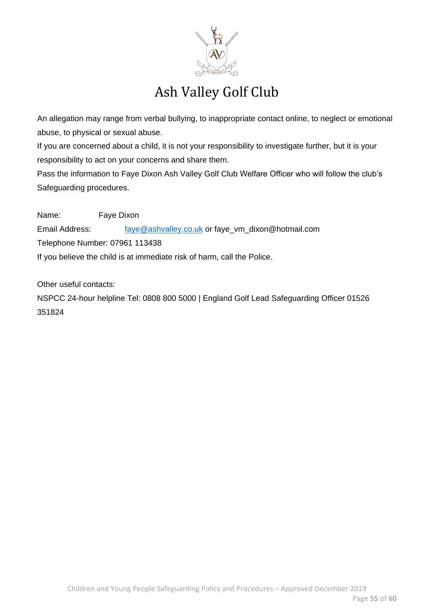

An allegation may range from verbal bullying, to inappropriate contact online, to neglect or emotional abuse, to physical or sexual abuse.

If you are concerned about a child, it is not your responsibility to investigate further, but it is your responsibility to act on your concerns and share them.

Pass the information to Faye Dixon Ash Valley Golf Club Welfare Officer who will follow the club's Safeguarding procedures.

Name: Faye Dixon Email Address: [faye@ashvalley.co.uk](mailto:faye@ashvalley.co.uk) or faye\_vm\_dixon@hotmail.com Telephone Number: 07961 113438 If you believe the child is at immediate risk of harm, call the Police.

Other useful contacts:

NSPCC 24-hour helpline Tel: 0808 800 5000 | England Golf Lead Safeguarding Officer 01526 351824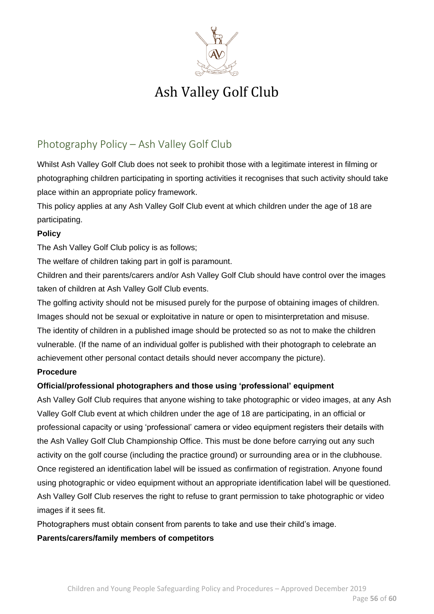

### <span id="page-55-0"></span>Photography Policy – Ash Valley Golf Club

Whilst Ash Valley Golf Club does not seek to prohibit those with a legitimate interest in filming or photographing children participating in sporting activities it recognises that such activity should take place within an appropriate policy framework.

This policy applies at any Ash Valley Golf Club event at which children under the age of 18 are participating.

#### **Policy**

The Ash Valley Golf Club policy is as follows;

The welfare of children taking part in golf is paramount.

Children and their parents/carers and/or Ash Valley Golf Club should have control over the images taken of children at Ash Valley Golf Club events.

The golfing activity should not be misused purely for the purpose of obtaining images of children. Images should not be sexual or exploitative in nature or open to misinterpretation and misuse.

The identity of children in a published image should be protected so as not to make the children vulnerable. (If the name of an individual golfer is published with their photograph to celebrate an achievement other personal contact details should never accompany the picture).

#### **Procedure**

### **Official/professional photographers and those using 'professional' equipment**

Ash Valley Golf Club requires that anyone wishing to take photographic or video images, at any Ash Valley Golf Club event at which children under the age of 18 are participating, in an official or professional capacity or using 'professional' camera or video equipment registers their details with the Ash Valley Golf Club Championship Office. This must be done before carrying out any such activity on the golf course (including the practice ground) or surrounding area or in the clubhouse. Once registered an identification label will be issued as confirmation of registration. Anyone found using photographic or video equipment without an appropriate identification label will be questioned. Ash Valley Golf Club reserves the right to refuse to grant permission to take photographic or video images if it sees fit.

Photographers must obtain consent from parents to take and use their child's image.

#### **Parents/carers/family members of competitors**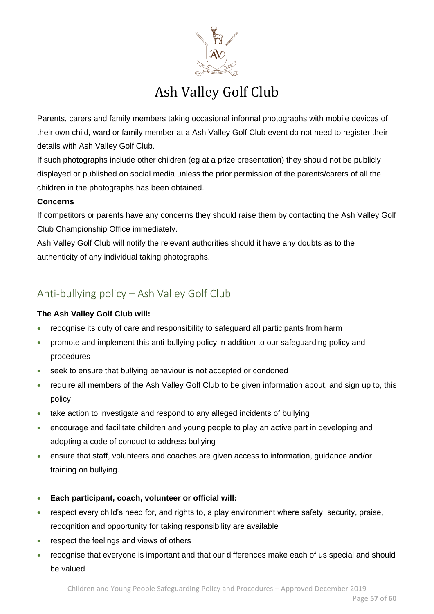

Parents, carers and family members taking occasional informal photographs with mobile devices of their own child, ward or family member at a Ash Valley Golf Club event do not need to register their details with Ash Valley Golf Club.

If such photographs include other children (eg at a prize presentation) they should not be publicly displayed or published on social media unless the prior permission of the parents/carers of all the children in the photographs has been obtained.

### **Concerns**

If competitors or parents have any concerns they should raise them by contacting the Ash Valley Golf Club Championship Office immediately.

Ash Valley Golf Club will notify the relevant authorities should it have any doubts as to the authenticity of any individual taking photographs.

### <span id="page-56-0"></span>Anti-bullying policy – Ash Valley Golf Club

### **The Ash Valley Golf Club will:**

- recognise its duty of care and responsibility to safeguard all participants from harm
- promote and implement this anti-bullying policy in addition to our safeguarding policy and procedures
- seek to ensure that bullying behaviour is not accepted or condoned
- require all members of the Ash Valley Golf Club to be given information about, and sign up to, this policy
- take action to investigate and respond to any alleged incidents of bullying
- encourage and facilitate children and young people to play an active part in developing and adopting a code of conduct to address bullying
- ensure that staff, volunteers and coaches are given access to information, guidance and/or training on bullying.
- **Each participant, coach, volunteer or official will:**
- respect every child's need for, and rights to, a play environment where safety, security, praise, recognition and opportunity for taking responsibility are available
- respect the feelings and views of others
- recognise that everyone is important and that our differences make each of us special and should be valued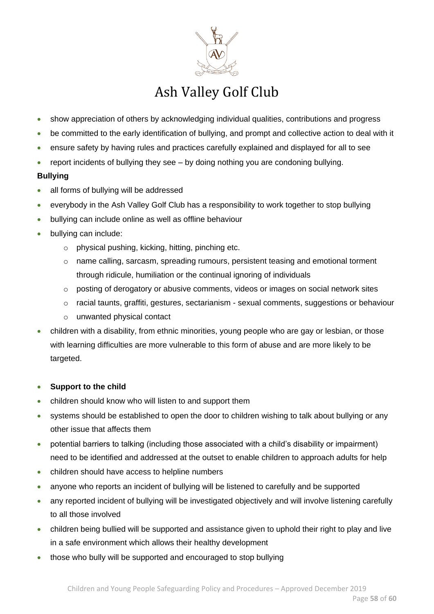

- show appreciation of others by acknowledging individual qualities, contributions and progress
- be committed to the early identification of bullying, and prompt and collective action to deal with it
- ensure safety by having rules and practices carefully explained and displayed for all to see
- report incidents of bullying they see by doing nothing you are condoning bullying.

### **Bullying**

- all forms of bullying will be addressed
- everybody in the Ash Valley Golf Club has a responsibility to work together to stop bullying
- bullying can include online as well as offline behaviour
- bullying can include:
	- o physical pushing, kicking, hitting, pinching etc.
	- $\circ$  name calling, sarcasm, spreading rumours, persistent teasing and emotional torment through ridicule, humiliation or the continual ignoring of individuals
	- $\circ$  posting of derogatory or abusive comments, videos or images on social network sites
	- o racial taunts, graffiti, gestures, sectarianism sexual comments, suggestions or behaviour
	- o unwanted physical contact
- children with a disability, from ethnic minorities, young people who are gay or lesbian, or those with learning difficulties are more vulnerable to this form of abuse and are more likely to be targeted.

#### • **Support to the child**

- children should know who will listen to and support them
- systems should be established to open the door to children wishing to talk about bullying or any other issue that affects them
- potential barriers to talking (including those associated with a child's disability or impairment) need to be identified and addressed at the outset to enable children to approach adults for help
- children should have access to helpline numbers
- anyone who reports an incident of bullying will be listened to carefully and be supported
- any reported incident of bullying will be investigated objectively and will involve listening carefully to all those involved
- children being bullied will be supported and assistance given to uphold their right to play and live in a safe environment which allows their healthy development
- those who bully will be supported and encouraged to stop bullying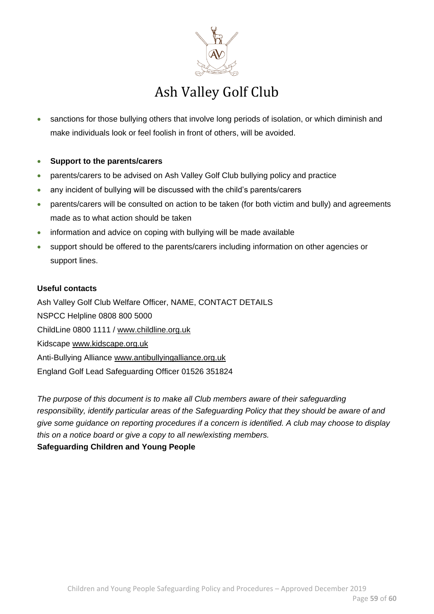

- sanctions for those bullying others that involve long periods of isolation, or which diminish and make individuals look or feel foolish in front of others, will be avoided.
- **Support to the parents/carers**
- parents/carers to be advised on Ash Valley Golf Club bullying policy and practice
- any incident of bullying will be discussed with the child's parents/carers
- parents/carers will be consulted on action to be taken (for both victim and bully) and agreements made as to what action should be taken
- information and advice on coping with bullying will be made available
- support should be offered to the parents/carers including information on other agencies or support lines.

#### **Useful contacts**

Ash Valley Golf Club Welfare Officer, NAME, CONTACT DETAILS NSPCC Helpline 0808 800 5000 ChildLine 0800 1111 / [www.childline.org.uk](http://www.childline.org.uk/) Kidscape [www.kidscape.org.uk](http://www.kidscape.org.uk/) Anti-Bullying Alliance [www.antibullyingalliance.org.uk](http://www.antibullyingalliance.org.uk/) England Golf Lead Safeguarding Officer 01526 351824

*The purpose of this document is to make all Club members aware of their safeguarding responsibility, identify particular areas of the Safeguarding Policy that they should be aware of and give some guidance on reporting procedures if a concern is identified. A club may choose to display this on a notice board or give a copy to all new/existing members.*  **Safeguarding Children and Young People**